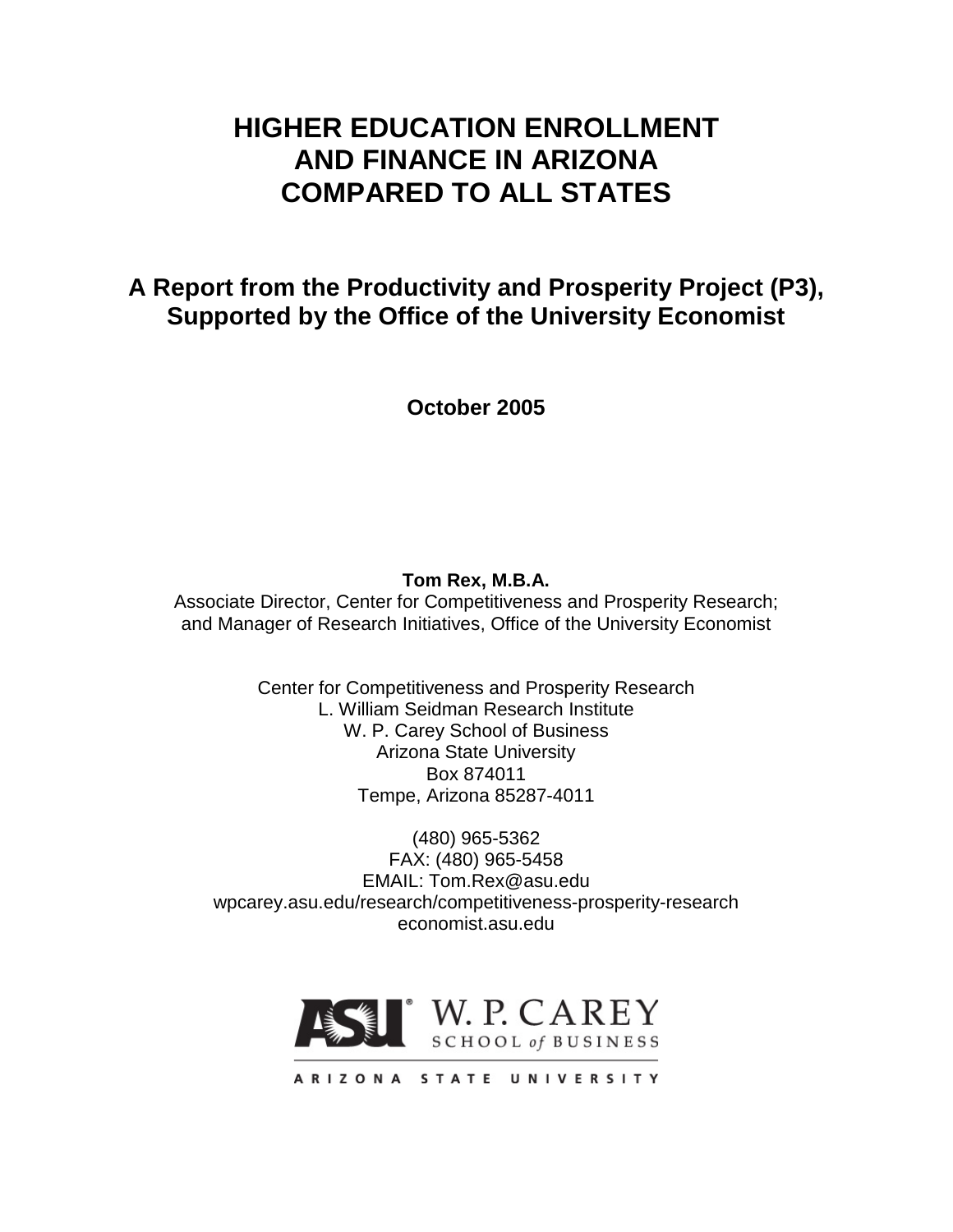# **HIGHER EDUCATION ENROLLMENT AND FINANCE IN ARIZONA COMPARED TO ALL STATES**

# **A Report from the Productivity and Prosperity Project (P3), Supported by the Office of the University Economist**

**October 2005**

# **Tom Rex, M.B.A.**

Associate Director, Center for Competitiveness and Prosperity Research; and Manager of Research Initiatives, Office of the University Economist

> Center for Competitiveness and Prosperity Research L. William Seidman Research Institute W. P. Carey School of Business Arizona State University Box 874011 Tempe, Arizona 85287-4011

(480) 965-5362 FAX: (480) 965-5458 EMAIL: Tom.Rex@asu.edu wpcarey.asu.edu/research/competitiveness-prosperity-research economist.asu.edu

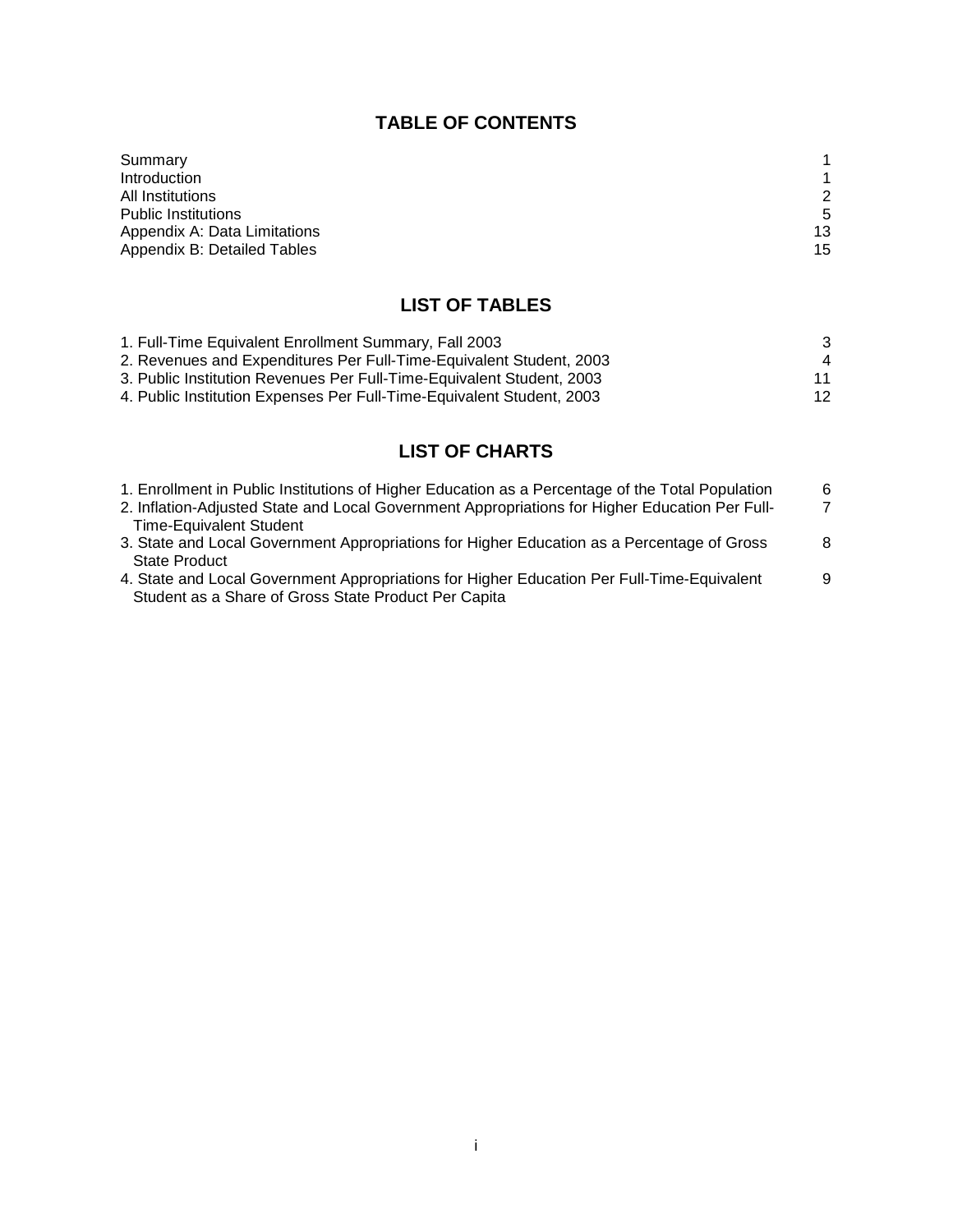# **TABLE OF CONTENTS**

| Summary                      |    |
|------------------------------|----|
| Introduction                 |    |
| All Institutions             | 2  |
| <b>Public Institutions</b>   | .5 |
| Appendix A: Data Limitations | 13 |
| Appendix B: Detailed Tables  | 15 |

# **LIST OF TABLES**

| 1. Full-Time Equivalent Enrollment Summary, Fall 2003                 | -3 |
|-----------------------------------------------------------------------|----|
| 2. Revenues and Expenditures Per Full-Time-Equivalent Student, 2003   | 4  |
| 3. Public Institution Revenues Per Full-Time-Equivalent Student, 2003 | 11 |
| 4. Public Institution Expenses Per Full-Time-Equivalent Student, 2003 | 12 |

# **LIST OF CHARTS**

| 1. Enrollment in Public Institutions of Higher Education as a Percentage of the Total Population | 6 |
|--------------------------------------------------------------------------------------------------|---|
| 2. Inflation-Adjusted State and Local Government Appropriations for Higher Education Per Full-   | 7 |
| <b>Time-Equivalent Student</b>                                                                   |   |
| 3. State and Local Government Appropriations for Higher Education as a Percentage of Gross       | 8 |
| State Product                                                                                    |   |
| 4. State and Local Government Appropriations for Higher Education Per Full-Time-Equivalent       | 9 |
| Student as a Share of Gross State Product Per Capita                                             |   |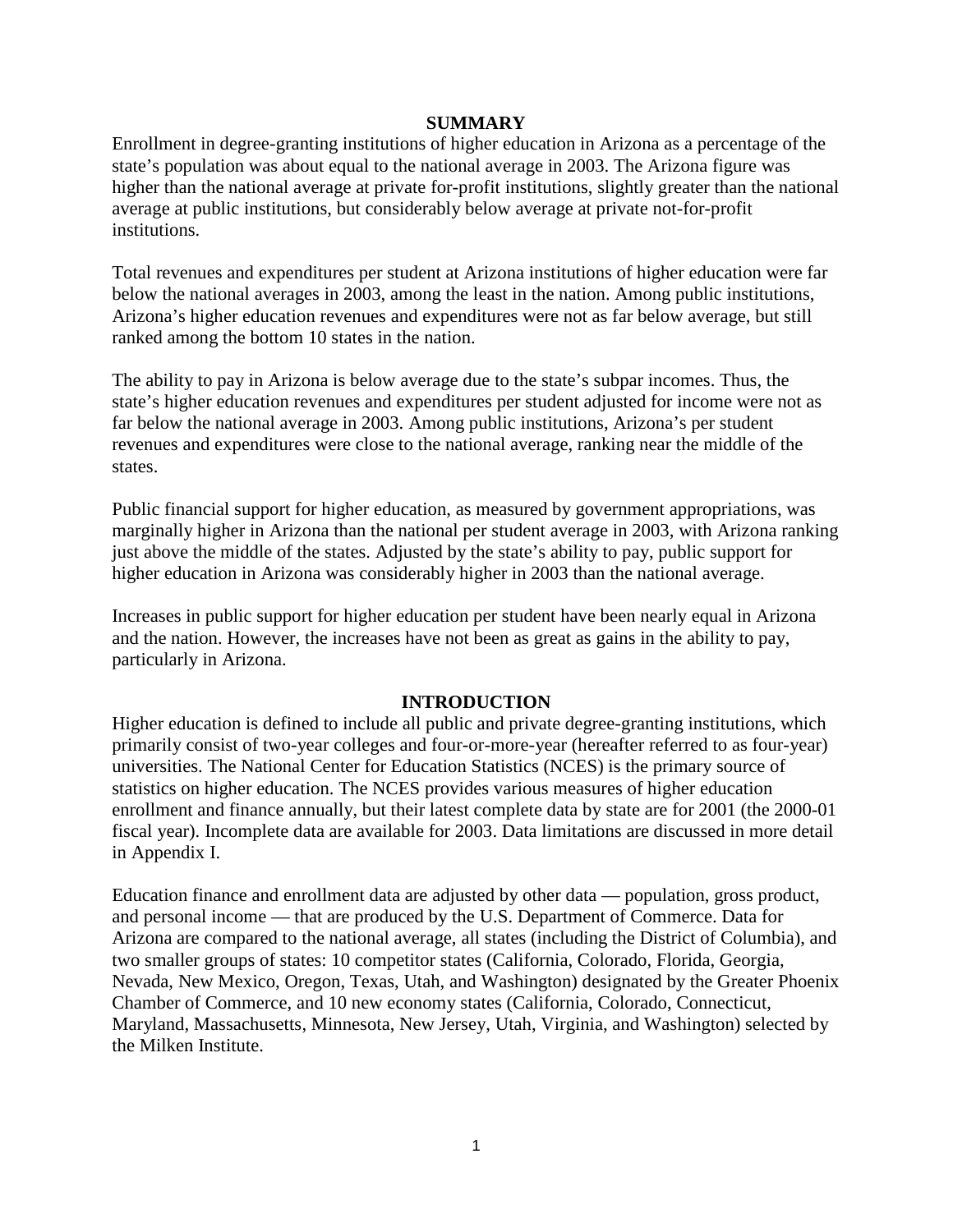#### **SUMMARY**

Enrollment in degree-granting institutions of higher education in Arizona as a percentage of the state's population was about equal to the national average in 2003. The Arizona figure was higher than the national average at private for-profit institutions, slightly greater than the national average at public institutions, but considerably below average at private not-for-profit institutions.

Total revenues and expenditures per student at Arizona institutions of higher education were far below the national averages in 2003, among the least in the nation. Among public institutions, Arizona's higher education revenues and expenditures were not as far below average, but still ranked among the bottom 10 states in the nation.

The ability to pay in Arizona is below average due to the state's subpar incomes. Thus, the state's higher education revenues and expenditures per student adjusted for income were not as far below the national average in 2003. Among public institutions, Arizona's per student revenues and expenditures were close to the national average, ranking near the middle of the states.

Public financial support for higher education, as measured by government appropriations, was marginally higher in Arizona than the national per student average in 2003, with Arizona ranking just above the middle of the states. Adjusted by the state's ability to pay, public support for higher education in Arizona was considerably higher in 2003 than the national average.

Increases in public support for higher education per student have been nearly equal in Arizona and the nation. However, the increases have not been as great as gains in the ability to pay, particularly in Arizona.

### **INTRODUCTION**

Higher education is defined to include all public and private degree-granting institutions, which primarily consist of two-year colleges and four-or-more-year (hereafter referred to as four-year) universities. The National Center for Education Statistics (NCES) is the primary source of statistics on higher education. The NCES provides various measures of higher education enrollment and finance annually, but their latest complete data by state are for 2001 (the 2000-01 fiscal year). Incomplete data are available for 2003. Data limitations are discussed in more detail in Appendix I.

Education finance and enrollment data are adjusted by other data — population, gross product, and personal income — that are produced by the U.S. Department of Commerce. Data for Arizona are compared to the national average, all states (including the District of Columbia), and two smaller groups of states: 10 competitor states (California, Colorado, Florida, Georgia, Nevada, New Mexico, Oregon, Texas, Utah, and Washington) designated by the Greater Phoenix Chamber of Commerce, and 10 new economy states (California, Colorado, Connecticut, Maryland, Massachusetts, Minnesota, New Jersey, Utah, Virginia, and Washington) selected by the Milken Institute.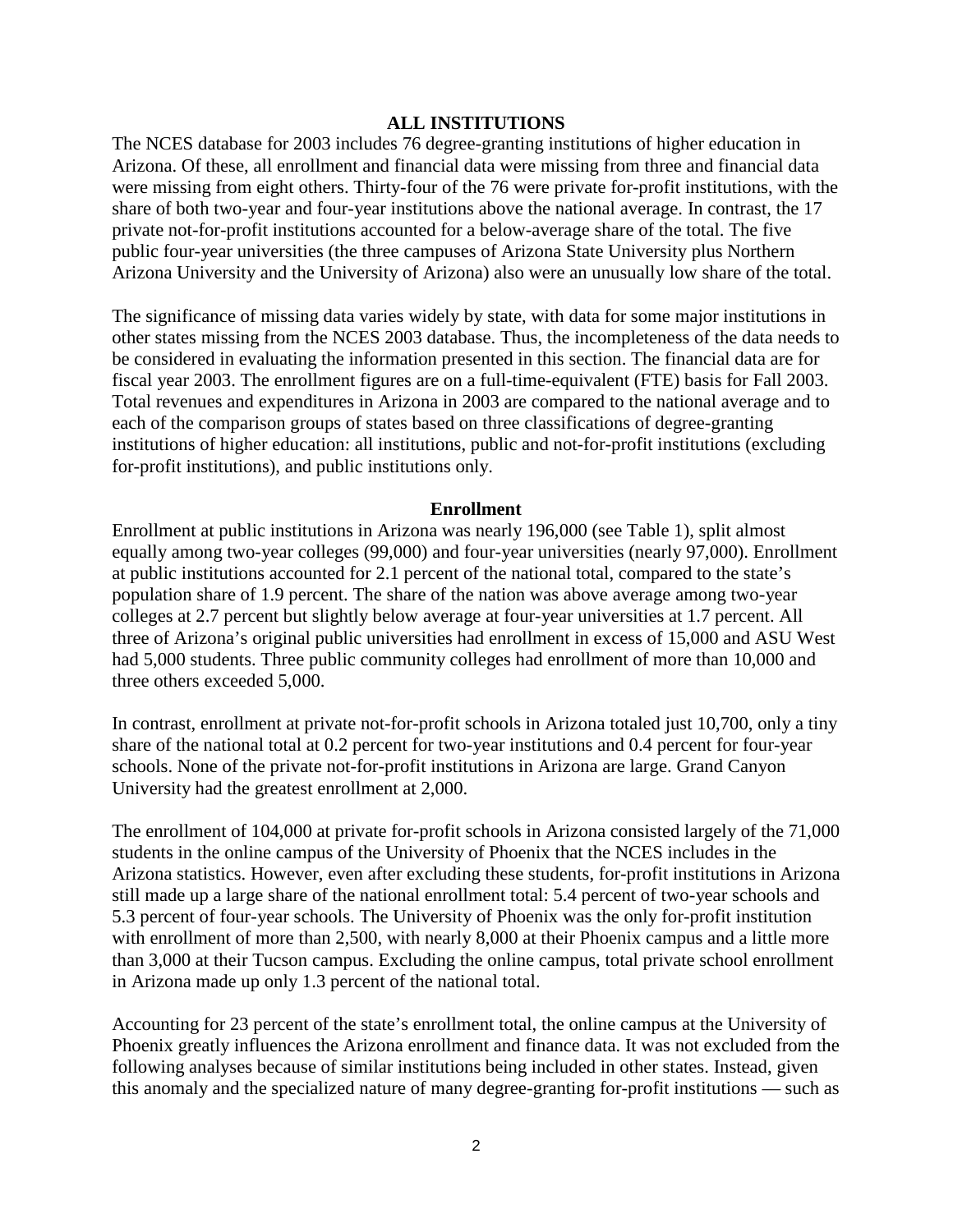#### **ALL INSTITUTIONS**

The NCES database for 2003 includes 76 degree-granting institutions of higher education in Arizona. Of these, all enrollment and financial data were missing from three and financial data were missing from eight others. Thirty-four of the 76 were private for-profit institutions, with the share of both two-year and four-year institutions above the national average. In contrast, the 17 private not-for-profit institutions accounted for a below-average share of the total. The five public four-year universities (the three campuses of Arizona State University plus Northern Arizona University and the University of Arizona) also were an unusually low share of the total.

The significance of missing data varies widely by state, with data for some major institutions in other states missing from the NCES 2003 database. Thus, the incompleteness of the data needs to be considered in evaluating the information presented in this section. The financial data are for fiscal year 2003. The enrollment figures are on a full-time-equivalent (FTE) basis for Fall 2003. Total revenues and expenditures in Arizona in 2003 are compared to the national average and to each of the comparison groups of states based on three classifications of degree-granting institutions of higher education: all institutions, public and not-for-profit institutions (excluding for-profit institutions), and public institutions only.

#### **Enrollment**

Enrollment at public institutions in Arizona was nearly 196,000 (see Table 1), split almost equally among two-year colleges (99,000) and four-year universities (nearly 97,000). Enrollment at public institutions accounted for 2.1 percent of the national total, compared to the state's population share of 1.9 percent. The share of the nation was above average among two-year colleges at 2.7 percent but slightly below average at four-year universities at 1.7 percent. All three of Arizona's original public universities had enrollment in excess of 15,000 and ASU West had 5,000 students. Three public community colleges had enrollment of more than 10,000 and three others exceeded 5,000.

In contrast, enrollment at private not-for-profit schools in Arizona totaled just 10,700, only a tiny share of the national total at 0.2 percent for two-year institutions and 0.4 percent for four-year schools. None of the private not-for-profit institutions in Arizona are large. Grand Canyon University had the greatest enrollment at 2,000.

The enrollment of 104,000 at private for-profit schools in Arizona consisted largely of the 71,000 students in the online campus of the University of Phoenix that the NCES includes in the Arizona statistics. However, even after excluding these students, for-profit institutions in Arizona still made up a large share of the national enrollment total: 5.4 percent of two-year schools and 5.3 percent of four-year schools. The University of Phoenix was the only for-profit institution with enrollment of more than 2,500, with nearly 8,000 at their Phoenix campus and a little more than 3,000 at their Tucson campus. Excluding the online campus, total private school enrollment in Arizona made up only 1.3 percent of the national total.

Accounting for 23 percent of the state's enrollment total, the online campus at the University of Phoenix greatly influences the Arizona enrollment and finance data. It was not excluded from the following analyses because of similar institutions being included in other states. Instead, given this anomaly and the specialized nature of many degree-granting for-profit institutions — such as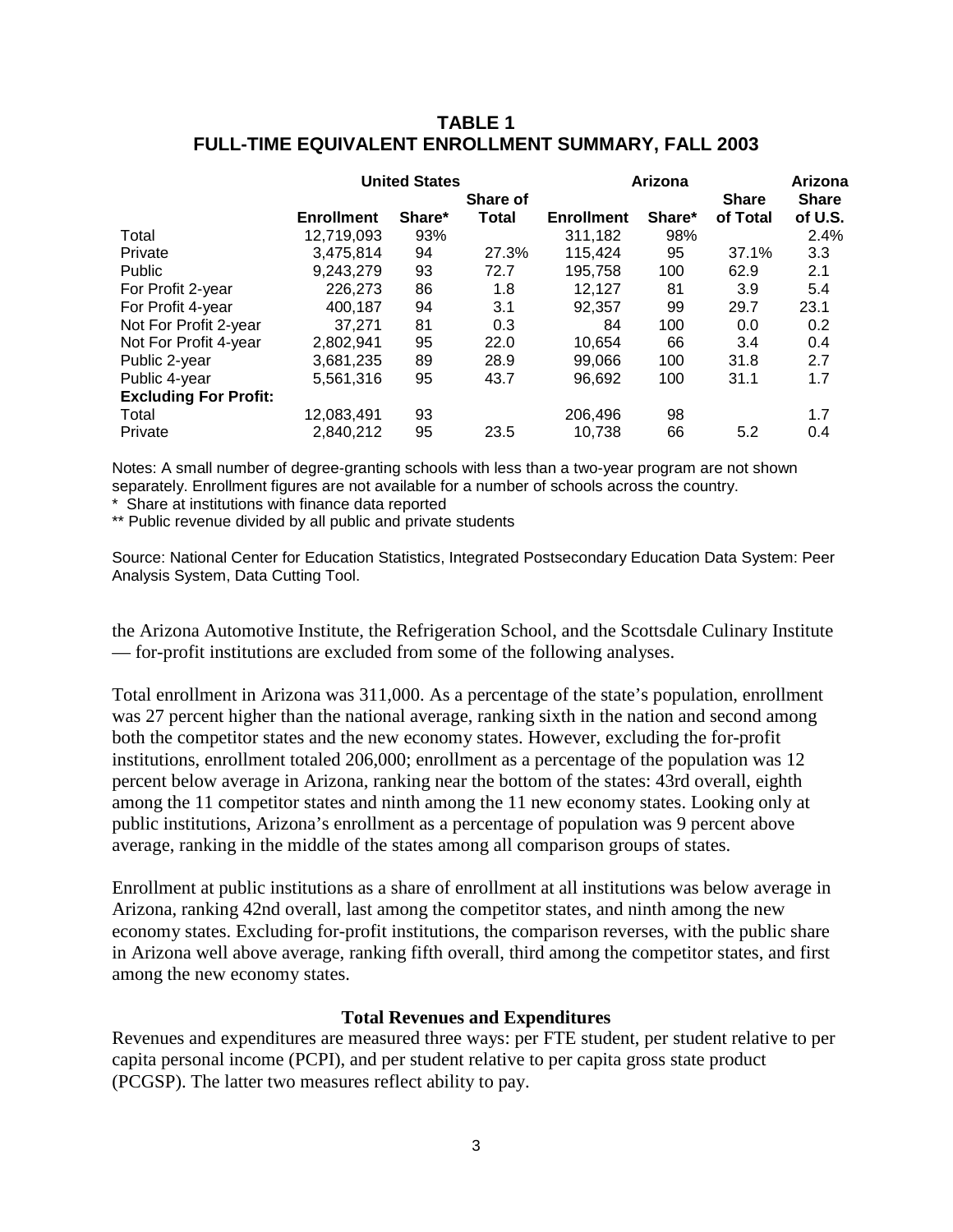|                              | <b>United States</b> |        |                   | Arizona           | Arizona |                          |                         |
|------------------------------|----------------------|--------|-------------------|-------------------|---------|--------------------------|-------------------------|
|                              | <b>Enrollment</b>    | Share* | Share of<br>Total | <b>Enrollment</b> | Share*  | <b>Share</b><br>of Total | <b>Share</b><br>of U.S. |
| Total                        | 12,719,093           | 93%    |                   | 311,182           | 98%     |                          | 2.4%                    |
| Private                      | 3.475.814            | 94     | 27.3%             | 115.424           | 95      | 37.1%                    | 3.3                     |
| Public                       | 9,243,279            | 93     | 72.7              | 195,758           | 100     | 62.9                     | 2.1                     |
| For Profit 2-year            | 226.273              | 86     | 1.8               | 12.127            | 81      | 3.9                      | 5.4                     |
| For Profit 4-year            | 400.187              | 94     | 3.1               | 92,357            | 99      | 29.7                     | 23.1                    |
| Not For Profit 2-year        | 37.271               | 81     | 0.3               | 84                | 100     | 0.0                      | 0.2                     |
| Not For Profit 4-year        | 2.802.941            | 95     | 22.0              | 10,654            | 66      | 3.4                      | 0.4                     |
| Public 2-year                | 3,681,235            | 89     | 28.9              | 99.066            | 100     | 31.8                     | 2.7                     |
| Public 4-year                | 5,561,316            | 95     | 43.7              | 96,692            | 100     | 31.1                     | 1.7                     |
| <b>Excluding For Profit:</b> |                      |        |                   |                   |         |                          |                         |
| Total                        | 12,083,491           | 93     |                   | 206,496           | 98      |                          | 1.7                     |
| Private                      | 2,840,212            | 95     | 23.5              | 10,738            | 66      | 5.2                      | 0.4                     |

### **TABLE 1 FULL-TIME EQUIVALENT ENROLLMENT SUMMARY, FALL 2003**

Notes: A small number of degree-granting schools with less than a two-year program are not shown separately. Enrollment figures are not available for a number of schools across the country.

\* Share at institutions with finance data reported

\*\* Public revenue divided by all public and private students

Source: National Center for Education Statistics, Integrated Postsecondary Education Data System: Peer Analysis System, Data Cutting Tool.

the Arizona Automotive Institute, the Refrigeration School, and the Scottsdale Culinary Institute — for-profit institutions are excluded from some of the following analyses.

Total enrollment in Arizona was 311,000. As a percentage of the state's population, enrollment was 27 percent higher than the national average, ranking sixth in the nation and second among both the competitor states and the new economy states. However, excluding the for-profit institutions, enrollment totaled 206,000; enrollment as a percentage of the population was 12 percent below average in Arizona, ranking near the bottom of the states: 43rd overall, eighth among the 11 competitor states and ninth among the 11 new economy states. Looking only at public institutions, Arizona's enrollment as a percentage of population was 9 percent above average, ranking in the middle of the states among all comparison groups of states.

Enrollment at public institutions as a share of enrollment at all institutions was below average in Arizona, ranking 42nd overall, last among the competitor states, and ninth among the new economy states. Excluding for-profit institutions, the comparison reverses, with the public share in Arizona well above average, ranking fifth overall, third among the competitor states, and first among the new economy states.

#### **Total Revenues and Expenditures**

Revenues and expenditures are measured three ways: per FTE student, per student relative to per capita personal income (PCPI), and per student relative to per capita gross state product (PCGSP). The latter two measures reflect ability to pay.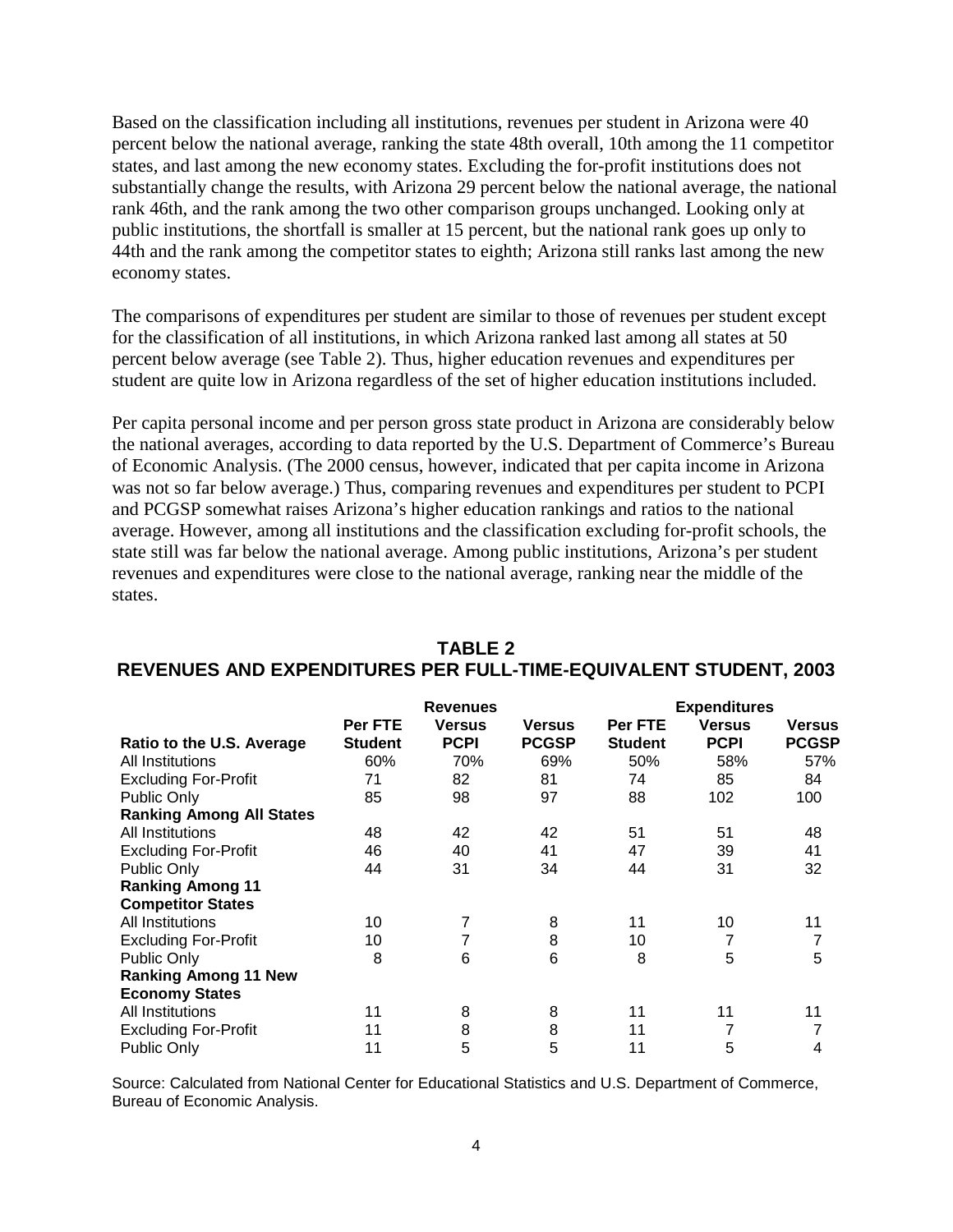Based on the classification including all institutions, revenues per student in Arizona were 40 percent below the national average, ranking the state 48th overall, 10th among the 11 competitor states, and last among the new economy states. Excluding the for-profit institutions does not substantially change the results, with Arizona 29 percent below the national average, the national rank 46th, and the rank among the two other comparison groups unchanged. Looking only at public institutions, the shortfall is smaller at 15 percent, but the national rank goes up only to 44th and the rank among the competitor states to eighth; Arizona still ranks last among the new economy states.

The comparisons of expenditures per student are similar to those of revenues per student except for the classification of all institutions, in which Arizona ranked last among all states at 50 percent below average (see Table 2). Thus, higher education revenues and expenditures per student are quite low in Arizona regardless of the set of higher education institutions included.

Per capita personal income and per person gross state product in Arizona are considerably below the national averages, according to data reported by the U.S. Department of Commerce's Bureau of Economic Analysis. (The 2000 census, however, indicated that per capita income in Arizona was not so far below average.) Thus, comparing revenues and expenditures per student to PCPI and PCGSP somewhat raises Arizona's higher education rankings and ratios to the national average. However, among all institutions and the classification excluding for-profit schools, the state still was far below the national average. Among public institutions, Arizona's per student revenues and expenditures were close to the national average, ranking near the middle of the states.

|                                 | <b>Revenues</b> |               |               | <b>Expenditures</b> |               |               |  |
|---------------------------------|-----------------|---------------|---------------|---------------------|---------------|---------------|--|
|                                 | Per FTE         | <b>Versus</b> | <b>Versus</b> | Per FTE             | <b>Versus</b> | <b>Versus</b> |  |
| Ratio to the U.S. Average       | Student         | <b>PCPI</b>   | <b>PCGSP</b>  | <b>Student</b>      | <b>PCPI</b>   | <b>PCGSP</b>  |  |
| All Institutions                | 60%             | 70%           | 69%           | 50%                 | 58%           | 57%           |  |
| <b>Excluding For-Profit</b>     | 71              | 82            | 81            | 74                  | 85            | 84            |  |
| Public Only                     | 85              | 98            | 97            | 88                  | 102           | 100           |  |
| <b>Ranking Among All States</b> |                 |               |               |                     |               |               |  |
| All Institutions                | 48              | 42            | 42            | 51                  | 51            | 48            |  |
| <b>Excluding For-Profit</b>     | 46              | 40            | 41            | 47                  | 39            | 41            |  |
| Public Only                     | 44              | 31            | 34            | 44                  | 31            | 32            |  |
| <b>Ranking Among 11</b>         |                 |               |               |                     |               |               |  |
| <b>Competitor States</b>        |                 |               |               |                     |               |               |  |
| All Institutions                | 10              | 7             | 8             | 11                  | 10            | 11            |  |
| <b>Excluding For-Profit</b>     | 10              | 7             | 8             | 10                  |               | 7             |  |
| Public Only                     | 8               | 6             | 6             | 8                   | 5             | 5             |  |
| <b>Ranking Among 11 New</b>     |                 |               |               |                     |               |               |  |
| <b>Economy States</b>           |                 |               |               |                     |               |               |  |
| All Institutions                | 11              | 8             | 8             | 11                  | 11            | 11            |  |
| <b>Excluding For-Profit</b>     | 11              | 8             | 8             | 11                  |               | 7             |  |
| <b>Public Only</b>              | 11              | 5             | 5             | 11                  | 5             | 4             |  |

### **TABLE 2 REVENUES AND EXPENDITURES PER FULL-TIME-EQUIVALENT STUDENT, 2003**

Source: Calculated from National Center for Educational Statistics and U.S. Department of Commerce, Bureau of Economic Analysis.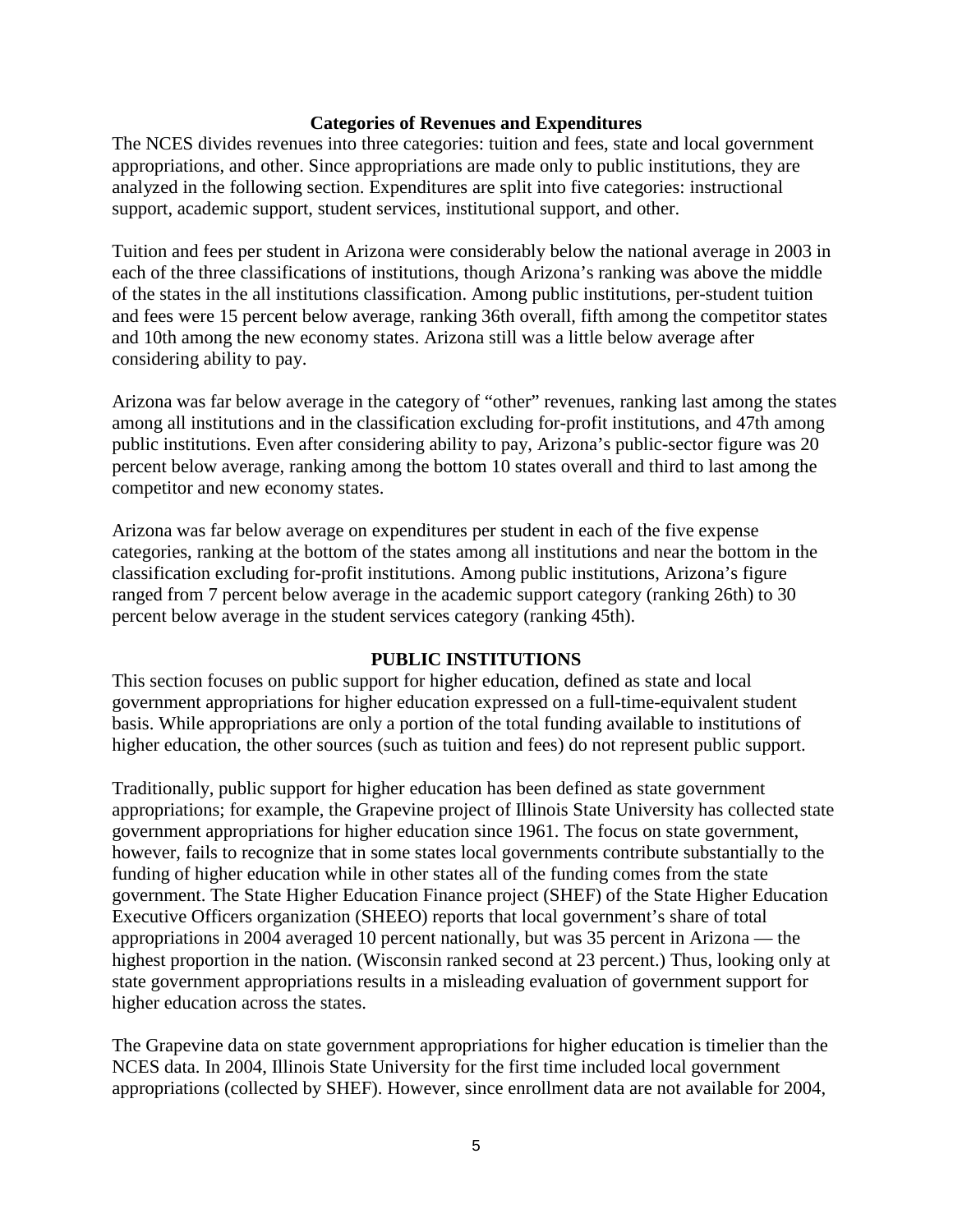#### **Categories of Revenues and Expenditures**

The NCES divides revenues into three categories: tuition and fees, state and local government appropriations, and other. Since appropriations are made only to public institutions, they are analyzed in the following section. Expenditures are split into five categories: instructional support, academic support, student services, institutional support, and other.

Tuition and fees per student in Arizona were considerably below the national average in 2003 in each of the three classifications of institutions, though Arizona's ranking was above the middle of the states in the all institutions classification. Among public institutions, per-student tuition and fees were 15 percent below average, ranking 36th overall, fifth among the competitor states and 10th among the new economy states. Arizona still was a little below average after considering ability to pay.

Arizona was far below average in the category of "other" revenues, ranking last among the states among all institutions and in the classification excluding for-profit institutions, and 47th among public institutions. Even after considering ability to pay, Arizona's public-sector figure was 20 percent below average, ranking among the bottom 10 states overall and third to last among the competitor and new economy states.

Arizona was far below average on expenditures per student in each of the five expense categories, ranking at the bottom of the states among all institutions and near the bottom in the classification excluding for-profit institutions. Among public institutions, Arizona's figure ranged from 7 percent below average in the academic support category (ranking 26th) to 30 percent below average in the student services category (ranking 45th).

### **PUBLIC INSTITUTIONS**

This section focuses on public support for higher education, defined as state and local government appropriations for higher education expressed on a full-time-equivalent student basis. While appropriations are only a portion of the total funding available to institutions of higher education, the other sources (such as tuition and fees) do not represent public support.

Traditionally, public support for higher education has been defined as state government appropriations; for example, the Grapevine project of Illinois State University has collected state government appropriations for higher education since 1961. The focus on state government, however, fails to recognize that in some states local governments contribute substantially to the funding of higher education while in other states all of the funding comes from the state government. The State Higher Education Finance project (SHEF) of the State Higher Education Executive Officers organization (SHEEO) reports that local government's share of total appropriations in 2004 averaged 10 percent nationally, but was 35 percent in Arizona — the highest proportion in the nation. (Wisconsin ranked second at 23 percent.) Thus, looking only at state government appropriations results in a misleading evaluation of government support for higher education across the states.

The Grapevine data on state government appropriations for higher education is timelier than the NCES data. In 2004, Illinois State University for the first time included local government appropriations (collected by SHEF). However, since enrollment data are not available for 2004,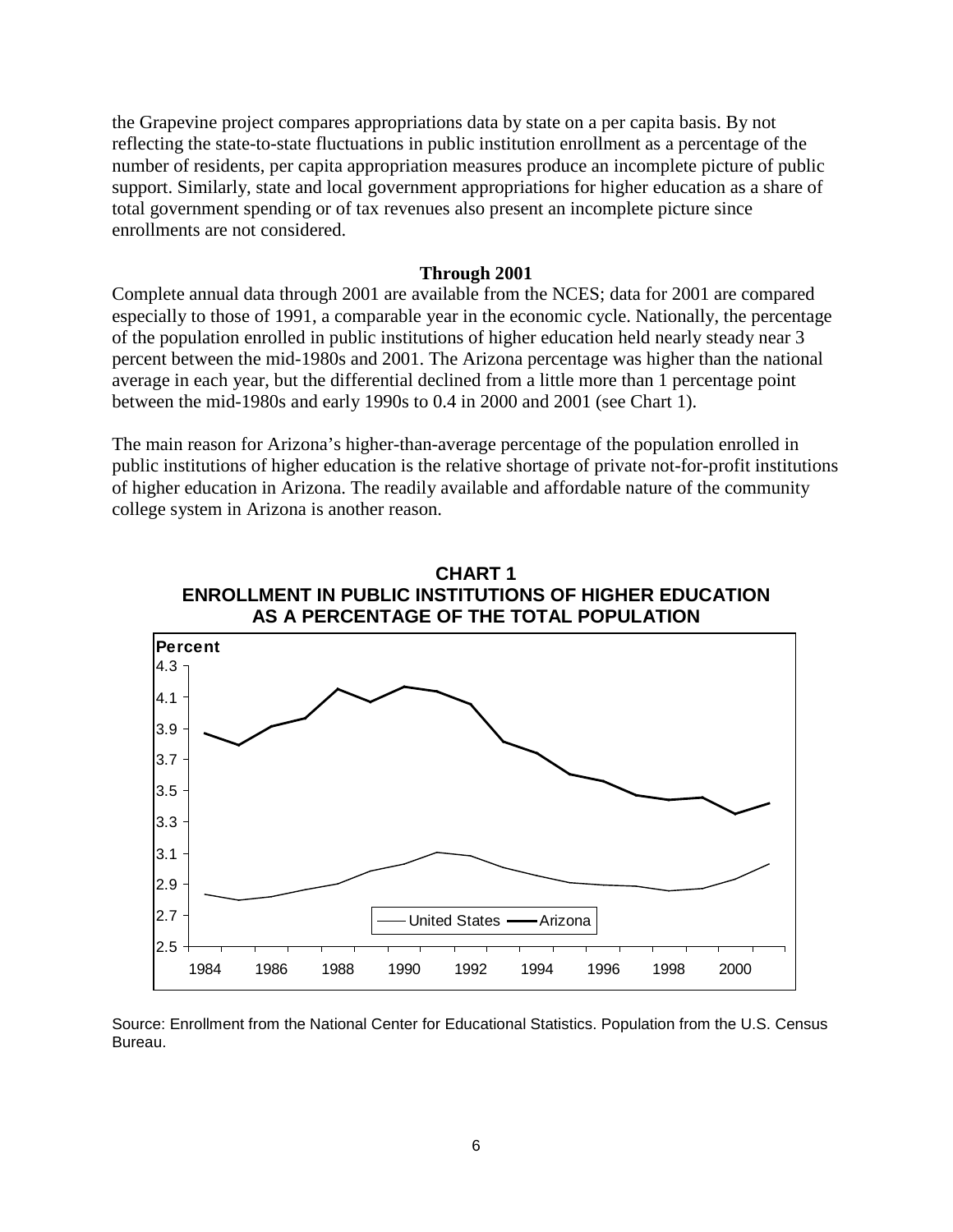the Grapevine project compares appropriations data by state on a per capita basis. By not reflecting the state-to-state fluctuations in public institution enrollment as a percentage of the number of residents, per capita appropriation measures produce an incomplete picture of public support. Similarly, state and local government appropriations for higher education as a share of total government spending or of tax revenues also present an incomplete picture since enrollments are not considered.

#### **Through 2001**

Complete annual data through 2001 are available from the NCES; data for 2001 are compared especially to those of 1991, a comparable year in the economic cycle. Nationally, the percentage of the population enrolled in public institutions of higher education held nearly steady near 3 percent between the mid-1980s and 2001. The Arizona percentage was higher than the national average in each year, but the differential declined from a little more than 1 percentage point between the mid-1980s and early 1990s to 0.4 in 2000 and 2001 (see Chart 1).

The main reason for Arizona's higher-than-average percentage of the population enrolled in public institutions of higher education is the relative shortage of private not-for-profit institutions of higher education in Arizona. The readily available and affordable nature of the community college system in Arizona is another reason.



Source: Enrollment from the National Center for Educational Statistics. Population from the U.S. Census Bureau.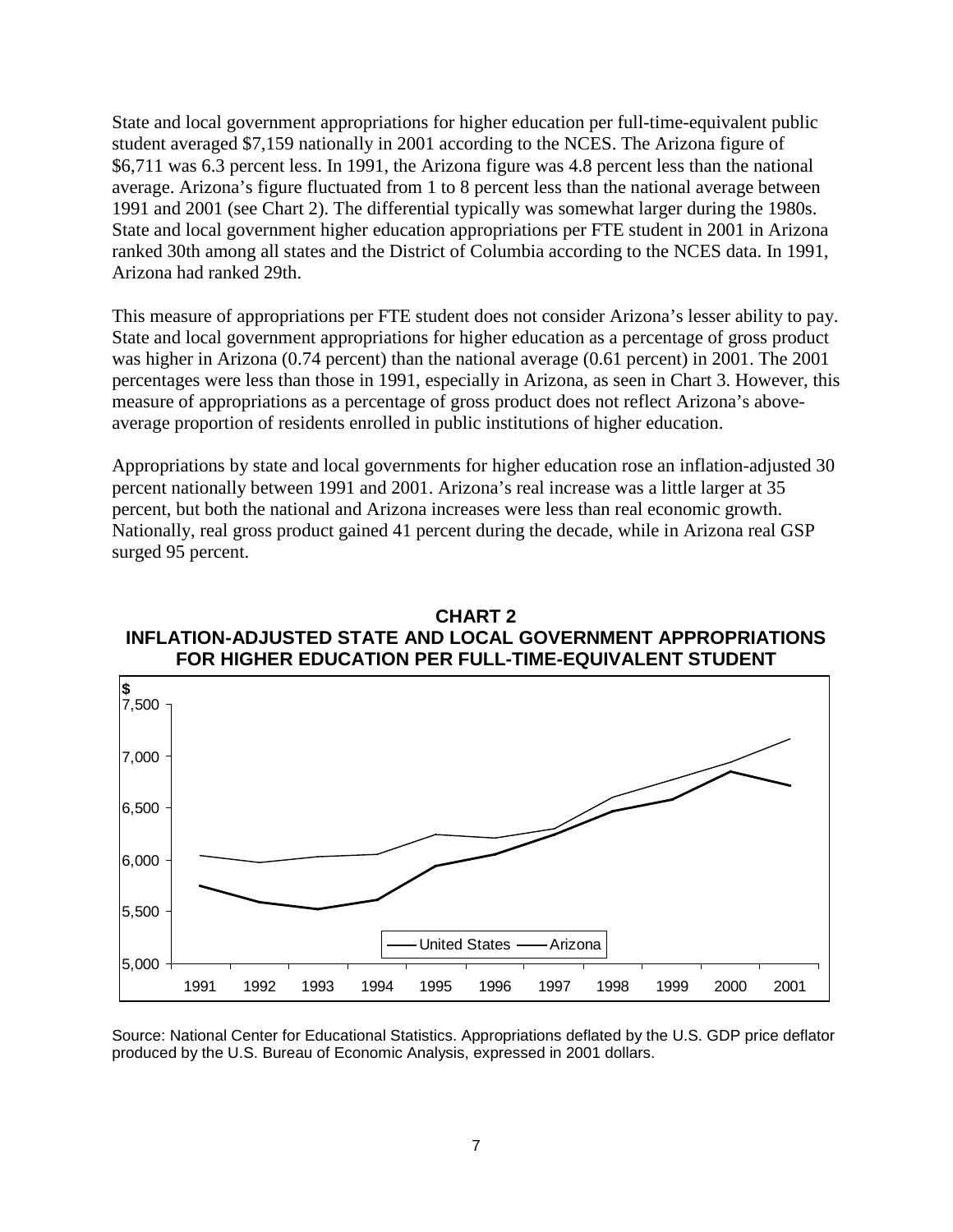State and local government appropriations for higher education per full-time-equivalent public student averaged \$7,159 nationally in 2001 according to the NCES. The Arizona figure of \$6,711 was 6.3 percent less. In 1991, the Arizona figure was 4.8 percent less than the national average. Arizona's figure fluctuated from 1 to 8 percent less than the national average between 1991 and 2001 (see Chart 2). The differential typically was somewhat larger during the 1980s. State and local government higher education appropriations per FTE student in 2001 in Arizona ranked 30th among all states and the District of Columbia according to the NCES data. In 1991, Arizona had ranked 29th.

This measure of appropriations per FTE student does not consider Arizona's lesser ability to pay. State and local government appropriations for higher education as a percentage of gross product was higher in Arizona (0.74 percent) than the national average (0.61 percent) in 2001. The 2001 percentages were less than those in 1991, especially in Arizona, as seen in Chart 3. However, this measure of appropriations as a percentage of gross product does not reflect Arizona's aboveaverage proportion of residents enrolled in public institutions of higher education.

Appropriations by state and local governments for higher education rose an inflation-adjusted 30 percent nationally between 1991 and 2001. Arizona's real increase was a little larger at 35 percent, but both the national and Arizona increases were less than real economic growth. Nationally, real gross product gained 41 percent during the decade, while in Arizona real GSP surged 95 percent.



### **CHART 2 INFLATION-ADJUSTED STATE AND LOCAL GOVERNMENT APPROPRIATIONS FOR HIGHER EDUCATION PER FULL-TIME-EQUIVALENT STUDENT**

Source: National Center for Educational Statistics. Appropriations deflated by the U.S. GDP price deflator produced by the U.S. Bureau of Economic Analysis, expressed in 2001 dollars.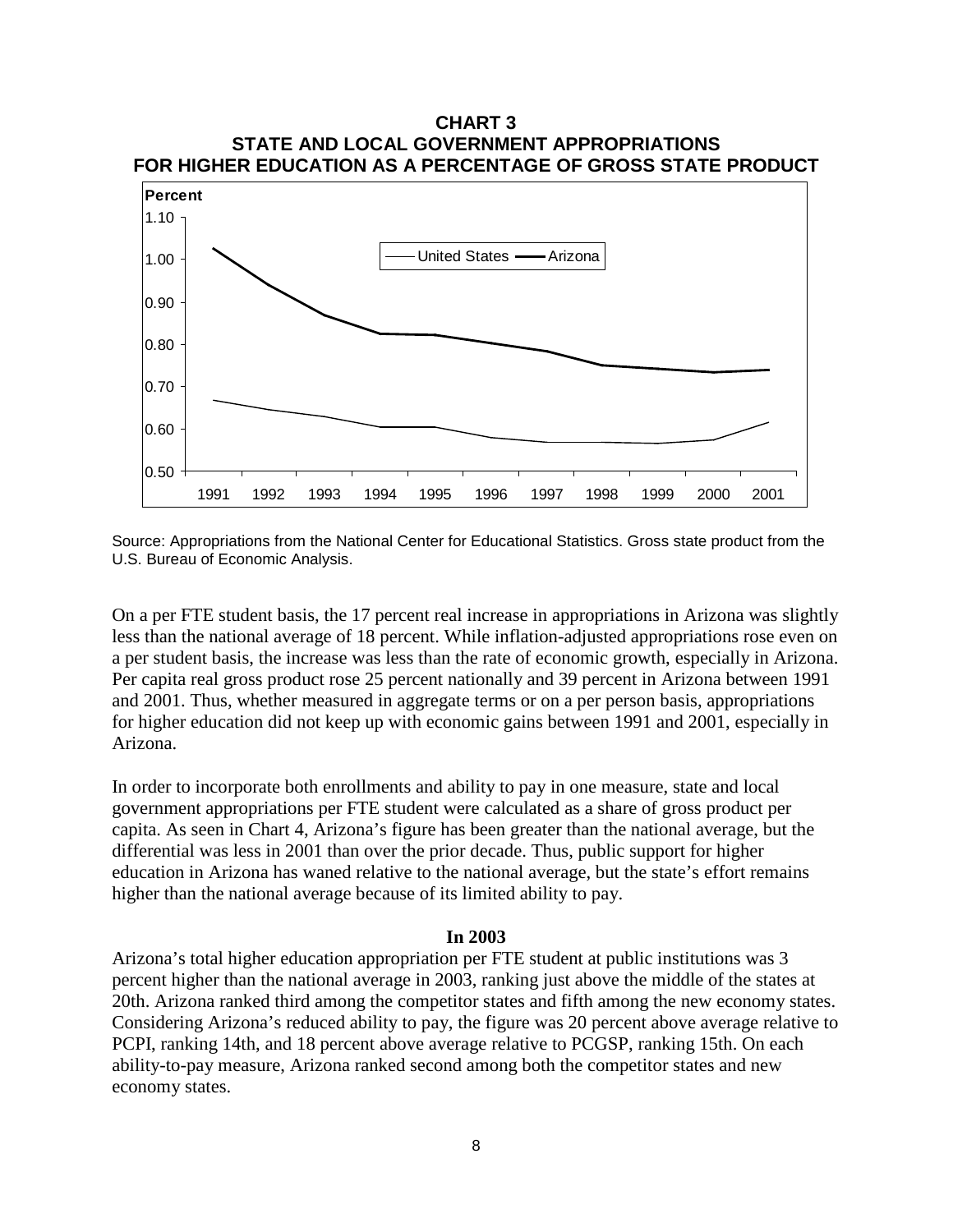



On a per FTE student basis, the 17 percent real increase in appropriations in Arizona was slightly less than the national average of 18 percent. While inflation-adjusted appropriations rose even on a per student basis, the increase was less than the rate of economic growth, especially in Arizona. Per capita real gross product rose 25 percent nationally and 39 percent in Arizona between 1991 and 2001. Thus, whether measured in aggregate terms or on a per person basis, appropriations for higher education did not keep up with economic gains between 1991 and 2001, especially in Arizona.

In order to incorporate both enrollments and ability to pay in one measure, state and local government appropriations per FTE student were calculated as a share of gross product per capita. As seen in Chart 4, Arizona's figure has been greater than the national average, but the differential was less in 2001 than over the prior decade. Thus, public support for higher education in Arizona has waned relative to the national average, but the state's effort remains higher than the national average because of its limited ability to pay.

#### **In 2003**

Arizona's total higher education appropriation per FTE student at public institutions was 3 percent higher than the national average in 2003, ranking just above the middle of the states at 20th. Arizona ranked third among the competitor states and fifth among the new economy states. Considering Arizona's reduced ability to pay, the figure was 20 percent above average relative to PCPI, ranking 14th, and 18 percent above average relative to PCGSP, ranking 15th. On each ability-to-pay measure, Arizona ranked second among both the competitor states and new economy states.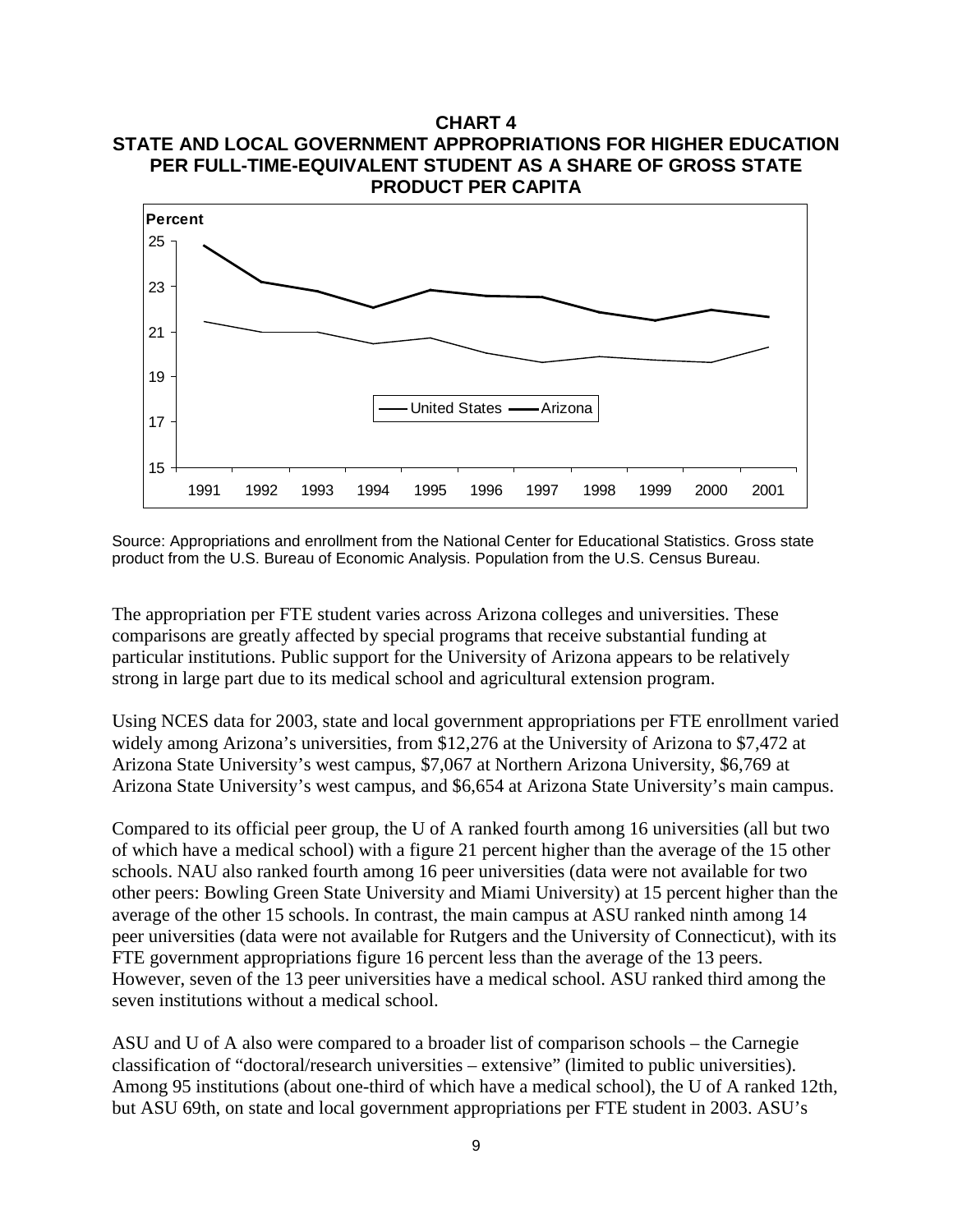

Source: Appropriations and enrollment from the National Center for Educational Statistics. Gross state product from the U.S. Bureau of Economic Analysis. Population from the U.S. Census Bureau.

The appropriation per FTE student varies across Arizona colleges and universities. These comparisons are greatly affected by special programs that receive substantial funding at particular institutions. Public support for the University of Arizona appears to be relatively strong in large part due to its medical school and agricultural extension program.

Using NCES data for 2003, state and local government appropriations per FTE enrollment varied widely among Arizona's universities, from \$12,276 at the University of Arizona to \$7,472 at Arizona State University's west campus, \$7,067 at Northern Arizona University, \$6,769 at Arizona State University's west campus, and \$6,654 at Arizona State University's main campus.

Compared to its official peer group, the U of A ranked fourth among 16 universities (all but two of which have a medical school) with a figure 21 percent higher than the average of the 15 other schools. NAU also ranked fourth among 16 peer universities (data were not available for two other peers: Bowling Green State University and Miami University) at 15 percent higher than the average of the other 15 schools. In contrast, the main campus at ASU ranked ninth among 14 peer universities (data were not available for Rutgers and the University of Connecticut), with its FTE government appropriations figure 16 percent less than the average of the 13 peers. However, seven of the 13 peer universities have a medical school. ASU ranked third among the seven institutions without a medical school.

ASU and U of A also were compared to a broader list of comparison schools – the Carnegie classification of "doctoral/research universities – extensive" (limited to public universities). Among 95 institutions (about one-third of which have a medical school), the U of A ranked 12th, but ASU 69th, on state and local government appropriations per FTE student in 2003. ASU's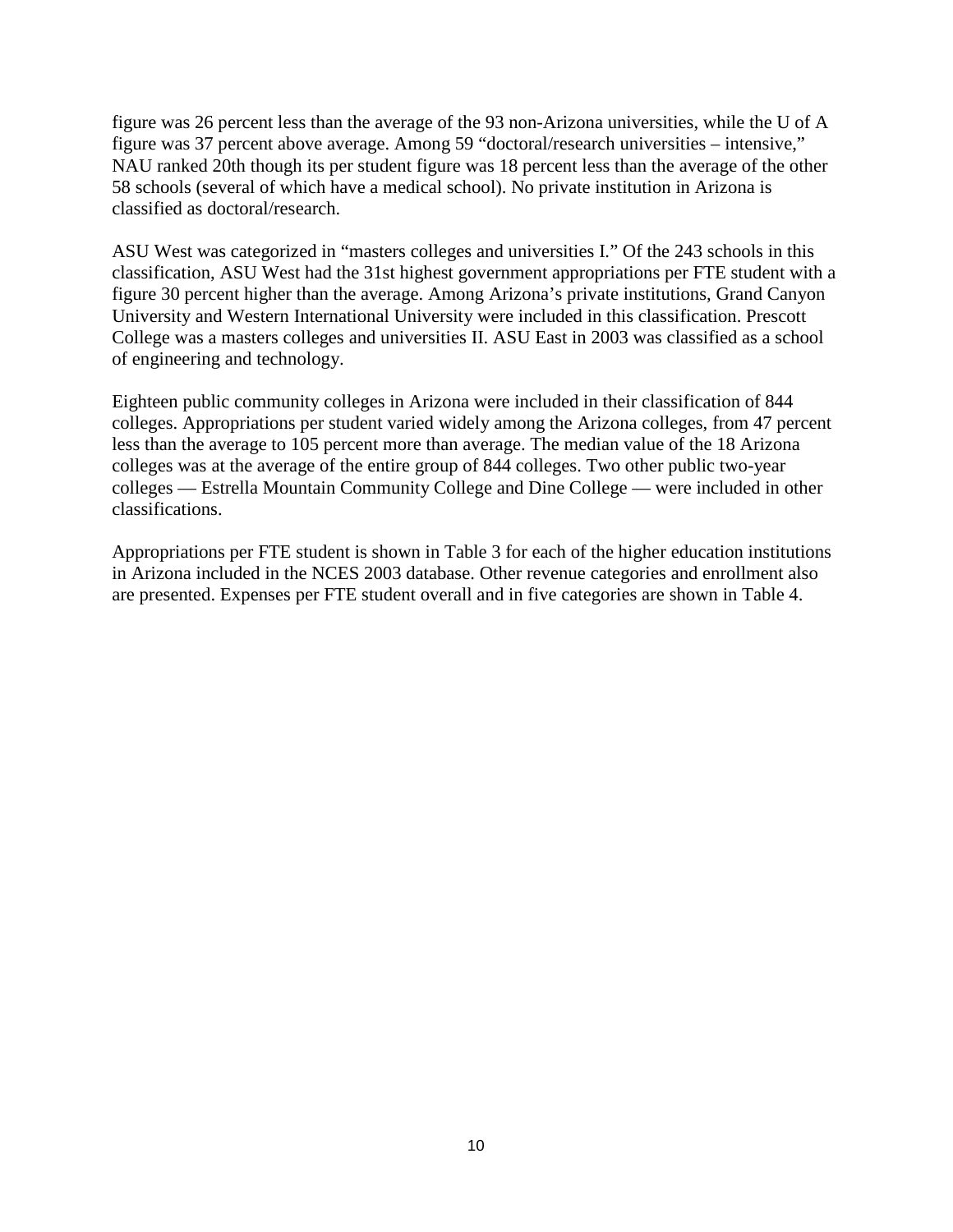figure was 26 percent less than the average of the 93 non-Arizona universities, while the U of A figure was 37 percent above average. Among 59 "doctoral/research universities – intensive," NAU ranked 20th though its per student figure was 18 percent less than the average of the other 58 schools (several of which have a medical school). No private institution in Arizona is classified as doctoral/research.

ASU West was categorized in "masters colleges and universities I." Of the 243 schools in this classification, ASU West had the 31st highest government appropriations per FTE student with a figure 30 percent higher than the average. Among Arizona's private institutions, Grand Canyon University and Western International University were included in this classification. Prescott College was a masters colleges and universities II. ASU East in 2003 was classified as a school of engineering and technology.

Eighteen public community colleges in Arizona were included in their classification of 844 colleges. Appropriations per student varied widely among the Arizona colleges, from 47 percent less than the average to 105 percent more than average. The median value of the 18 Arizona colleges was at the average of the entire group of 844 colleges. Two other public two-year colleges — Estrella Mountain Community College and Dine College — were included in other classifications.

Appropriations per FTE student is shown in Table 3 for each of the higher education institutions in Arizona included in the NCES 2003 database. Other revenue categories and enrollment also are presented. Expenses per FTE student overall and in five categories are shown in Table 4.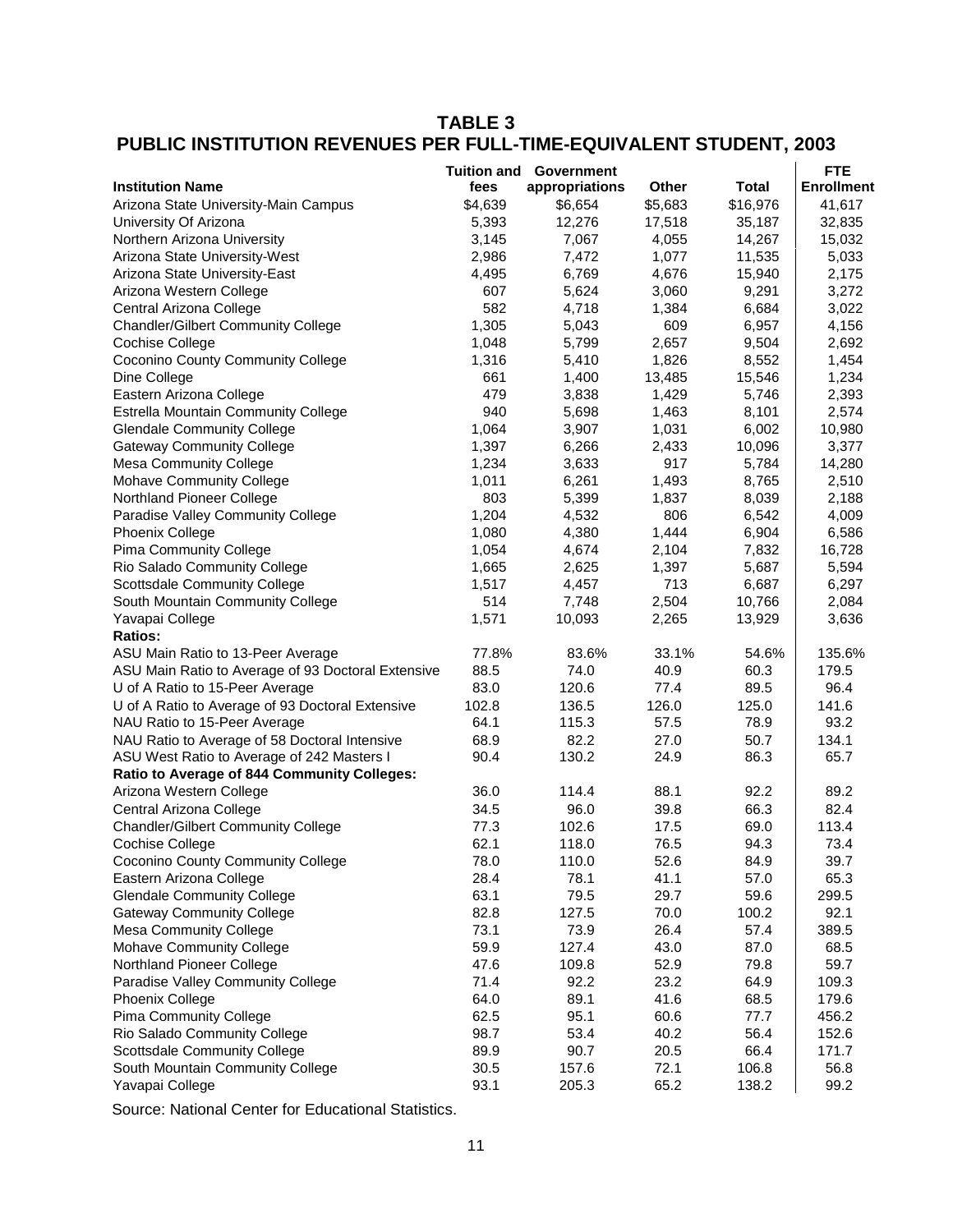# **TABLE 3 PUBLIC INSTITUTION REVENUES PER FULL-TIME-EQUIVALENT STUDENT, 2003**

|                                                    | <b>Tuition and</b> | Government     |              |          | <b>FTE</b>        |
|----------------------------------------------------|--------------------|----------------|--------------|----------|-------------------|
| <b>Institution Name</b>                            | fees               | appropriations | <b>Other</b> | Total    | <b>Enrollment</b> |
| Arizona State University-Main Campus               | \$4,639            | \$6,654        | \$5,683      | \$16,976 | 41,617            |
| University Of Arizona                              | 5,393              | 12,276         | 17,518       | 35,187   | 32,835            |
| Northern Arizona University                        | 3,145              | 7,067          | 4,055        | 14,267   | 15,032            |
| Arizona State University-West                      | 2,986              | 7,472          | 1,077        | 11,535   | 5,033             |
| Arizona State University-East                      | 4,495              | 6,769          | 4,676        | 15,940   | 2,175             |
| Arizona Western College                            | 607                | 5,624          | 3,060        | 9,291    | 3,272             |
| Central Arizona College                            | 582                | 4,718          | 1,384        | 6,684    | 3,022             |
| <b>Chandler/Gilbert Community College</b>          | 1,305              | 5,043          | 609          | 6,957    | 4,156             |
| Cochise College                                    | 1,048              | 5,799          | 2,657        | 9,504    | 2,692             |
| <b>Coconino County Community College</b>           | 1,316              | 5,410          | 1,826        | 8,552    | 1,454             |
| Dine College                                       | 661                | 1,400          | 13,485       | 15,546   | 1,234             |
| Eastern Arizona College                            | 479                | 3,838          | 1,429        | 5,746    | 2,393             |
| Estrella Mountain Community College                | 940                | 5,698          | 1,463        | 8,101    | 2,574             |
| <b>Glendale Community College</b>                  | 1,064              | 3,907          | 1,031        | 6,002    | 10,980            |
| <b>Gateway Community College</b>                   | 1,397              | 6,266          | 2,433        | 10,096   | 3,377             |
| <b>Mesa Community College</b>                      | 1,234              | 3,633          | 917          | 5,784    | 14,280            |
| Mohave Community College                           | 1,011              | 6,261          | 1,493        | 8,765    | 2,510             |
| Northland Pioneer College                          | 803                | 5,399          | 1,837        | 8,039    | 2,188             |
| Paradise Valley Community College                  | 1,204              | 4,532          | 806          | 6,542    | 4,009             |
| <b>Phoenix College</b>                             | 1,080              | 4,380          | 1,444        | 6,904    | 6,586             |
| Pima Community College                             | 1,054              | 4,674          | 2,104        | 7,832    | 16,728            |
| Rio Salado Community College                       | 1,665              | 2,625          | 1,397        | 5,687    | 5,594             |
| Scottsdale Community College                       | 1,517              | 4,457          | 713          | 6,687    | 6,297             |
| South Mountain Community College                   | 514                | 7,748          | 2,504        | 10,766   | 2,084             |
| Yavapai College                                    | 1,571              | 10,093         | 2,265        | 13,929   | 3,636             |
| <b>Ratios:</b>                                     |                    |                |              |          |                   |
| ASU Main Ratio to 13-Peer Average                  | 77.8%              | 83.6%          | 33.1%        | 54.6%    | 135.6%            |
| ASU Main Ratio to Average of 93 Doctoral Extensive | 88.5               | 74.0           | 40.9         | 60.3     | 179.5             |
| U of A Ratio to 15-Peer Average                    | 83.0               | 120.6          | 77.4         | 89.5     | 96.4              |
| U of A Ratio to Average of 93 Doctoral Extensive   | 102.8              | 136.5          | 126.0        | 125.0    | 141.6             |
| NAU Ratio to 15-Peer Average                       | 64.1               | 115.3          | 57.5         | 78.9     | 93.2              |
| NAU Ratio to Average of 58 Doctoral Intensive      | 68.9               | 82.2           | 27.0         | 50.7     | 134.1             |
| ASU West Ratio to Average of 242 Masters I         | 90.4               | 130.2          | 24.9         | 86.3     | 65.7              |
| Ratio to Average of 844 Community Colleges:        |                    |                |              |          |                   |
| Arizona Western College                            | 36.0               | 114.4          | 88.1         | 92.2     | 89.2              |
| Central Arizona College                            | 34.5               | 96.0           | 39.8         | 66.3     | 82.4              |
| <b>Chandler/Gilbert Community College</b>          | 77.3               | 102.6          | 17.5         | 69.0     | 113.4             |
| Cochise College                                    | 62.1               | 118.0          | 76.5         | 94.3     | 73.4              |
| <b>Coconino County Community College</b>           | 78.0               | 110.0          | 52.6         | 84.9     | 39.7              |
| Eastern Arizona College                            | 28.4               | 78.1           | 41.1         | 57.0     | 65.3              |
| <b>Glendale Community College</b>                  | 63.1               | 79.5           | 29.7         | 59.6     | 299.5             |
| <b>Gateway Community College</b>                   | 82.8               | 127.5          | 70.0         | 100.2    | 92.1              |
| <b>Mesa Community College</b>                      | 73.1               | 73.9           | 26.4         | 57.4     | 389.5             |
| Mohave Community College                           | 59.9               | 127.4          | 43.0         | 87.0     | 68.5              |
| Northland Pioneer College                          | 47.6               | 109.8          | 52.9         | 79.8     | 59.7              |
| Paradise Valley Community College                  | 71.4               | 92.2           | 23.2         | 64.9     | 109.3             |
|                                                    | 64.0               | 89.1           | 41.6         | 68.5     | 179.6             |
| Phoenix College<br>Pima Community College          | 62.5               | 95.1           | 60.6         | 77.7     | 456.2             |
| Rio Salado Community College                       | 98.7               | 53.4           | 40.2         | 56.4     | 152.6             |
|                                                    |                    | 90.7           |              | 66.4     |                   |
| Scottsdale Community College                       | 89.9               |                | 20.5         | 106.8    | 171.7             |
| South Mountain Community College                   | 30.5               | 157.6          | 72.1         |          | 56.8              |
| Yavapai College                                    | 93.1               | 205.3          | 65.2         | 138.2    | 99.2              |

Source: National Center for Educational Statistics.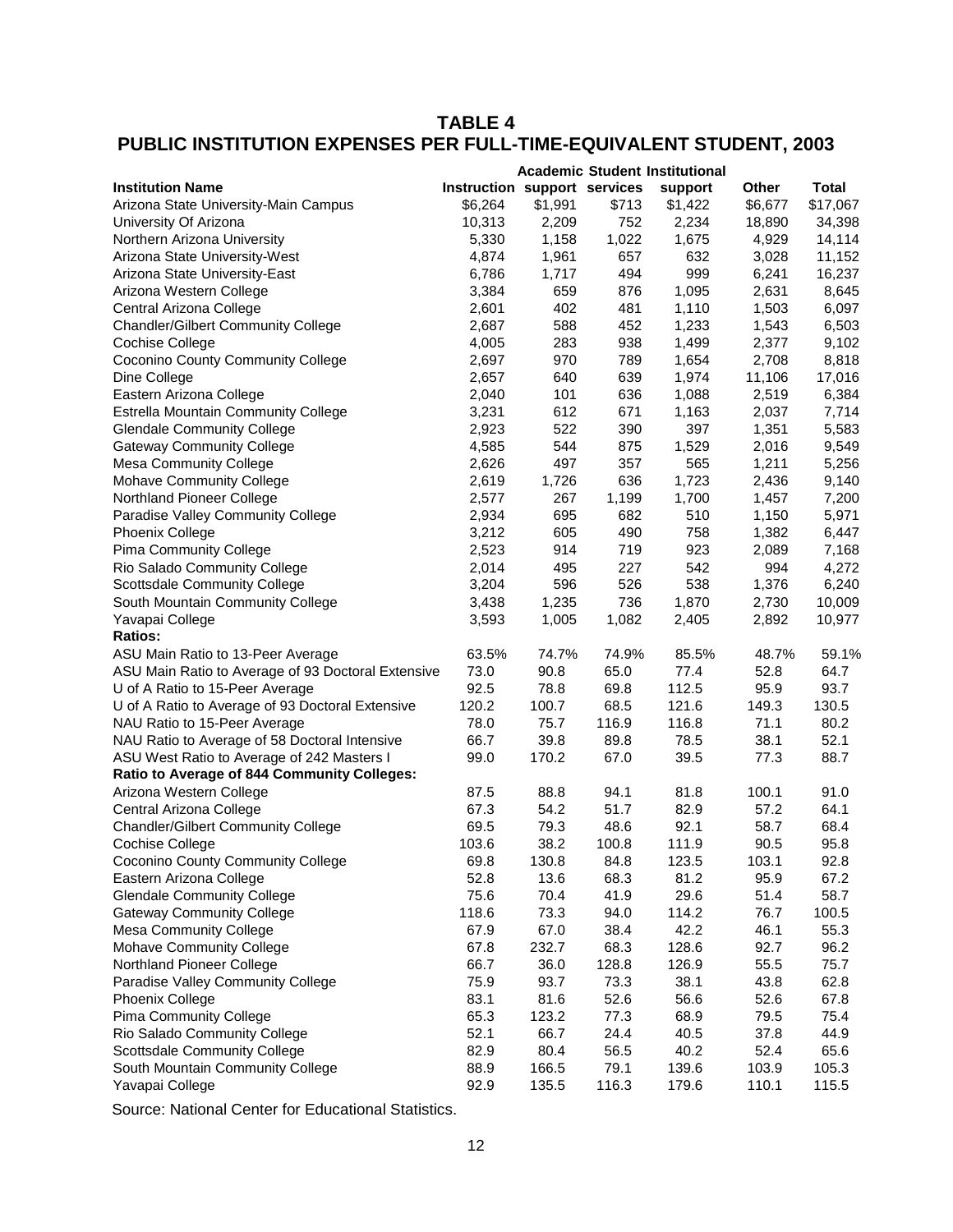# **TABLE 4 PUBLIC INSTITUTION EXPENSES PER FULL-TIME-EQUIVALENT STUDENT, 2003**

|                                                    |                              |         |       | <b>Academic Student Institutional</b> |              |              |
|----------------------------------------------------|------------------------------|---------|-------|---------------------------------------|--------------|--------------|
| <b>Institution Name</b>                            | Instruction support services |         |       | support                               | <b>Other</b> | <b>Total</b> |
| Arizona State University-Main Campus               | \$6,264                      | \$1,991 | \$713 | \$1,422                               | \$6,677      | \$17,067     |
| University Of Arizona                              | 10,313                       | 2,209   | 752   | 2,234                                 | 18,890       | 34,398       |
| Northern Arizona University                        | 5,330                        | 1,158   | 1,022 | 1,675                                 | 4,929        | 14,114       |
| Arizona State University-West                      | 4,874                        | 1,961   | 657   | 632                                   | 3,028        | 11,152       |
| Arizona State University-East                      | 6,786                        | 1,717   | 494   | 999                                   | 6,241        | 16,237       |
| Arizona Western College                            | 3,384                        | 659     | 876   | 1,095                                 | 2,631        | 8,645        |
| Central Arizona College                            | 2,601                        | 402     | 481   | 1,110                                 | 1,503        | 6,097        |
| <b>Chandler/Gilbert Community College</b>          | 2,687                        | 588     | 452   | 1,233                                 | 1,543        | 6,503        |
| Cochise College                                    | 4,005                        | 283     | 938   | 1,499                                 | 2,377        | 9,102        |
| <b>Coconino County Community College</b>           | 2,697                        | 970     | 789   | 1,654                                 | 2,708        | 8,818        |
| Dine College                                       | 2,657                        | 640     | 639   | 1,974                                 | 11,106       | 17,016       |
| Eastern Arizona College                            | 2,040                        | 101     | 636   | 1,088                                 | 2,519        | 6,384        |
| Estrella Mountain Community College                | 3,231                        | 612     | 671   | 1,163                                 | 2,037        | 7,714        |
| <b>Glendale Community College</b>                  | 2,923                        | 522     | 390   | 397                                   | 1,351        | 5,583        |
| <b>Gateway Community College</b>                   | 4,585                        | 544     | 875   | 1,529                                 | 2,016        | 9,549        |
| <b>Mesa Community College</b>                      | 2,626                        | 497     | 357   | 565                                   | 1,211        | 5,256        |
| Mohave Community College                           | 2,619                        | 1,726   | 636   | 1,723                                 | 2,436        | 9,140        |
| Northland Pioneer College                          | 2,577                        | 267     | 1,199 | 1,700                                 | 1,457        | 7,200        |
| Paradise Valley Community College                  | 2,934                        | 695     | 682   | 510                                   | 1,150        | 5,971        |
| Phoenix College                                    | 3,212                        | 605     | 490   | 758                                   | 1,382        | 6,447        |
| Pima Community College                             | 2,523                        | 914     | 719   | 923                                   | 2,089        | 7,168        |
| Rio Salado Community College                       | 2,014                        | 495     | 227   | 542                                   | 994          | 4,272        |
| Scottsdale Community College                       | 3,204                        | 596     | 526   | 538                                   | 1,376        | 6,240        |
| South Mountain Community College                   | 3,438                        | 1,235   | 736   | 1,870                                 | 2,730        | 10,009       |
| Yavapai College                                    | 3,593                        | 1,005   | 1,082 | 2,405                                 | 2,892        | 10,977       |
| <b>Ratios:</b>                                     |                              |         |       |                                       |              |              |
| ASU Main Ratio to 13-Peer Average                  | 63.5%                        | 74.7%   | 74.9% | 85.5%                                 | 48.7%        | 59.1%        |
| ASU Main Ratio to Average of 93 Doctoral Extensive | 73.0                         | 90.8    | 65.0  | 77.4                                  | 52.8         | 64.7         |
| U of A Ratio to 15-Peer Average                    | 92.5                         | 78.8    | 69.8  | 112.5                                 | 95.9         | 93.7         |
| U of A Ratio to Average of 93 Doctoral Extensive   | 120.2                        | 100.7   | 68.5  | 121.6                                 | 149.3        | 130.5        |
| NAU Ratio to 15-Peer Average                       | 78.0                         | 75.7    | 116.9 | 116.8                                 | 71.1         | 80.2         |
| NAU Ratio to Average of 58 Doctoral Intensive      | 66.7                         | 39.8    | 89.8  | 78.5                                  | 38.1         | 52.1         |
| ASU West Ratio to Average of 242 Masters I         | 99.0                         | 170.2   | 67.0  | 39.5                                  | 77.3         | 88.7         |
| Ratio to Average of 844 Community Colleges:        |                              |         |       |                                       |              |              |
| Arizona Western College                            | 87.5                         | 88.8    | 94.1  | 81.8                                  | 100.1        | 91.0         |
| Central Arizona College                            | 67.3                         | 54.2    | 51.7  | 82.9                                  | 57.2         | 64.1         |
| <b>Chandler/Gilbert Community College</b>          | 69.5                         | 79.3    | 48.6  | 92.1                                  | 58.7         | 68.4         |
| Cochise College                                    | 103.6                        | 38.2    | 100.8 | 111.9                                 | 90.5         | 95.8         |
| <b>Coconino County Community College</b>           | 69.8                         | 130.8   | 84.8  | 123.5                                 | 103.1        | 92.8         |
| Eastern Arizona College                            | 52.8                         | 13.6    | 68.3  | 81.2                                  | 95.9         | 67.2         |
| <b>Glendale Community College</b>                  | 75.6                         | 70.4    | 41.9  | 29.6                                  | 51.4         | 58.7         |
| <b>Gateway Community College</b>                   | 118.6                        | 73.3    | 94.0  | 114.2                                 | 76.7         | 100.5        |
| <b>Mesa Community College</b>                      | 67.9                         | 67.0    | 38.4  | 42.2                                  | 46.1         | 55.3         |
| Mohave Community College                           | 67.8                         | 232.7   | 68.3  | 128.6                                 | 92.7         | 96.2         |
| Northland Pioneer College                          | 66.7                         | 36.0    | 128.8 | 126.9                                 | 55.5         | 75.7         |
| Paradise Valley Community College                  | 75.9                         | 93.7    | 73.3  | 38.1                                  | 43.8         | 62.8         |
| <b>Phoenix College</b>                             | 83.1                         | 81.6    | 52.6  | 56.6                                  | 52.6         | 67.8         |
| Pima Community College                             | 65.3                         | 123.2   | 77.3  | 68.9                                  | 79.5         | 75.4         |
| Rio Salado Community College                       | 52.1                         | 66.7    | 24.4  | 40.5                                  | 37.8         | 44.9         |
| Scottsdale Community College                       | 82.9                         | 80.4    | 56.5  | 40.2                                  | 52.4         | 65.6         |
| South Mountain Community College                   | 88.9                         | 166.5   | 79.1  | 139.6                                 | 103.9        | 105.3        |
| Yavapai College                                    | 92.9                         | 135.5   | 116.3 | 179.6                                 | 110.1        | 115.5        |
|                                                    |                              |         |       |                                       |              |              |

Source: National Center for Educational Statistics.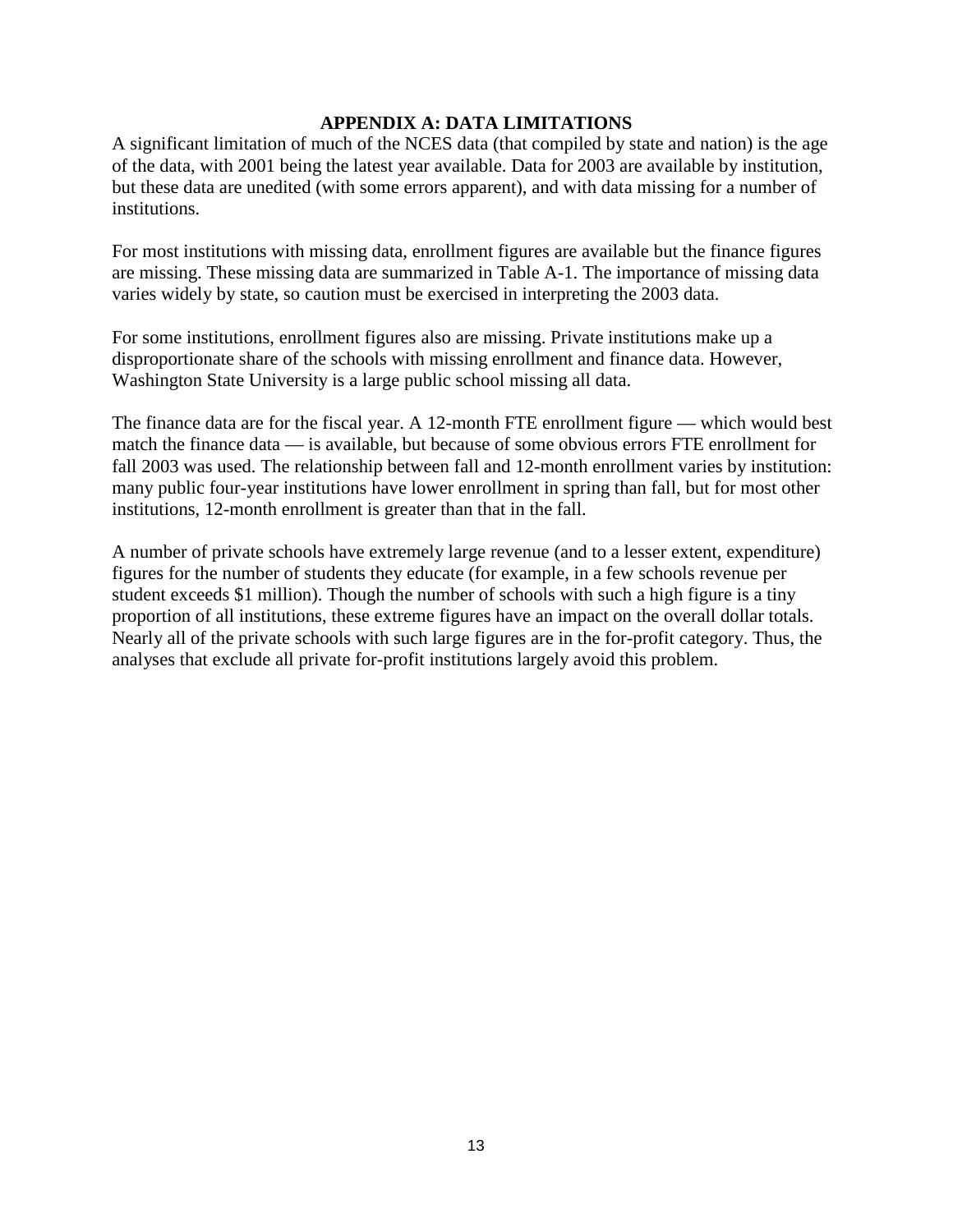#### **APPENDIX A: DATA LIMITATIONS**

A significant limitation of much of the NCES data (that compiled by state and nation) is the age of the data, with 2001 being the latest year available. Data for 2003 are available by institution, but these data are unedited (with some errors apparent), and with data missing for a number of institutions.

For most institutions with missing data, enrollment figures are available but the finance figures are missing. These missing data are summarized in Table A-1. The importance of missing data varies widely by state, so caution must be exercised in interpreting the 2003 data.

For some institutions, enrollment figures also are missing. Private institutions make up a disproportionate share of the schools with missing enrollment and finance data. However, Washington State University is a large public school missing all data.

The finance data are for the fiscal year. A 12-month FTE enrollment figure — which would best match the finance data — is available, but because of some obvious errors FTE enrollment for fall 2003 was used. The relationship between fall and 12-month enrollment varies by institution: many public four-year institutions have lower enrollment in spring than fall, but for most other institutions, 12-month enrollment is greater than that in the fall.

A number of private schools have extremely large revenue (and to a lesser extent, expenditure) figures for the number of students they educate (for example, in a few schools revenue per student exceeds \$1 million). Though the number of schools with such a high figure is a tiny proportion of all institutions, these extreme figures have an impact on the overall dollar totals. Nearly all of the private schools with such large figures are in the for-profit category. Thus, the analyses that exclude all private for-profit institutions largely avoid this problem.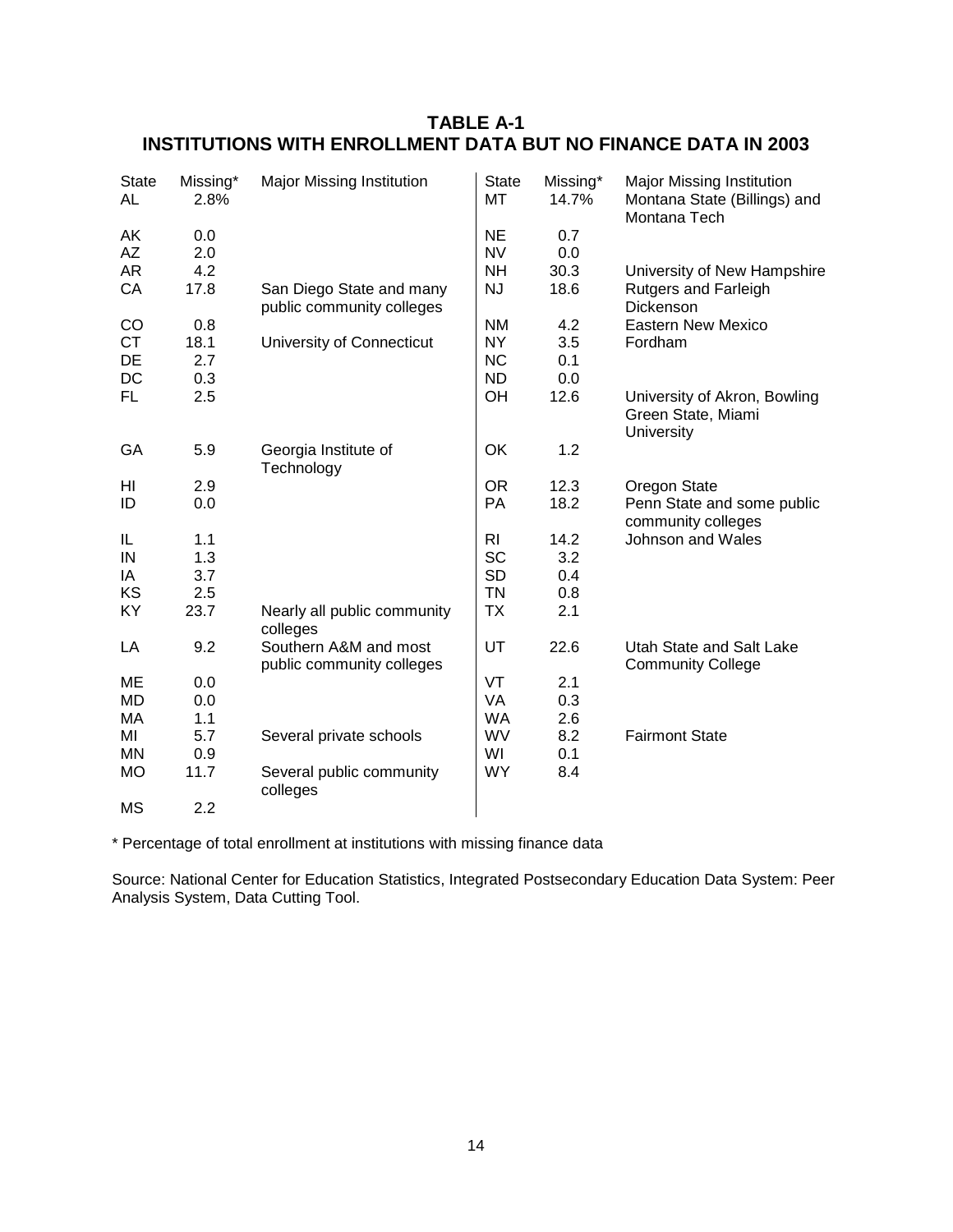| <b>State</b><br>AL | Missing*<br>2.8% | <b>Major Missing Institution</b>                      | <b>State</b><br>МT | Missing*<br>14.7% | <b>Major Missing Institution</b><br>Montana State (Billings) and<br>Montana Tech |
|--------------------|------------------|-------------------------------------------------------|--------------------|-------------------|----------------------------------------------------------------------------------|
| AK                 | 0.0              |                                                       | <b>NE</b>          | 0.7               |                                                                                  |
| <b>AZ</b>          | 2.0              |                                                       | <b>NV</b>          | 0.0               |                                                                                  |
| <b>AR</b>          | 4.2              |                                                       | <b>NH</b>          | 30.3              | University of New Hampshire                                                      |
| CA                 | 17.8             | San Diego State and many<br>public community colleges | NJ                 | 18.6              | <b>Rutgers and Farleigh</b><br>Dickenson                                         |
| CO                 | 0.8              |                                                       | <b>NM</b>          | 4.2               | <b>Eastern New Mexico</b>                                                        |
| <b>CT</b>          | 18.1             | University of Connecticut                             | NY.                | 3.5               | Fordham                                                                          |
| DE                 | 2.7              |                                                       | <b>NC</b>          | 0.1               |                                                                                  |
| DC                 | 0.3              |                                                       | ND.                | 0.0               |                                                                                  |
| <b>FL</b>          | 2.5              |                                                       | OH                 | 12.6              | University of Akron, Bowling<br>Green State, Miami<br>University                 |
| GA                 | 5.9              | Georgia Institute of<br>Technology                    | OK                 | 1.2               |                                                                                  |
| HI                 | 2.9              |                                                       | <b>OR</b>          | 12.3              | Oregon State                                                                     |
| ID                 | 0.0              |                                                       | PA                 | 18.2              | Penn State and some public<br>community colleges                                 |
| IL                 | 1.1              |                                                       | <b>RI</b>          | 14.2              | Johnson and Wales                                                                |
| IN                 | 1.3              |                                                       | <b>SC</b>          | 3.2               |                                                                                  |
| IA                 | 3.7              |                                                       | <b>SD</b>          | 0.4               |                                                                                  |
| KS                 | 2.5              |                                                       | <b>TN</b>          | 0.8               |                                                                                  |
| KY                 | 23.7             | Nearly all public community<br>colleges               | <b>TX</b>          | 2.1               |                                                                                  |
| LA                 | 9.2              | Southern A&M and most<br>public community colleges    | UT                 | 22.6              | Utah State and Salt Lake<br><b>Community College</b>                             |
| ME                 | 0.0              |                                                       | VT                 | 2.1               |                                                                                  |
| <b>MD</b>          | 0.0              |                                                       | <b>VA</b>          | 0.3               |                                                                                  |
| МA                 | 1.1              |                                                       | <b>WA</b>          | 2.6               |                                                                                  |
| MI                 | 5.7              | Several private schools                               | WV                 | 8.2               | <b>Fairmont State</b>                                                            |
| MN                 | 0.9              |                                                       | WI                 | 0.1               |                                                                                  |
| <b>MO</b>          | 11.7             | Several public community<br>colleges                  | <b>WY</b>          | 8.4               |                                                                                  |
| <b>MS</b>          | 2.2              |                                                       |                    |                   |                                                                                  |

# **TABLE A-1 INSTITUTIONS WITH ENROLLMENT DATA BUT NO FINANCE DATA IN 2003**

\* Percentage of total enrollment at institutions with missing finance data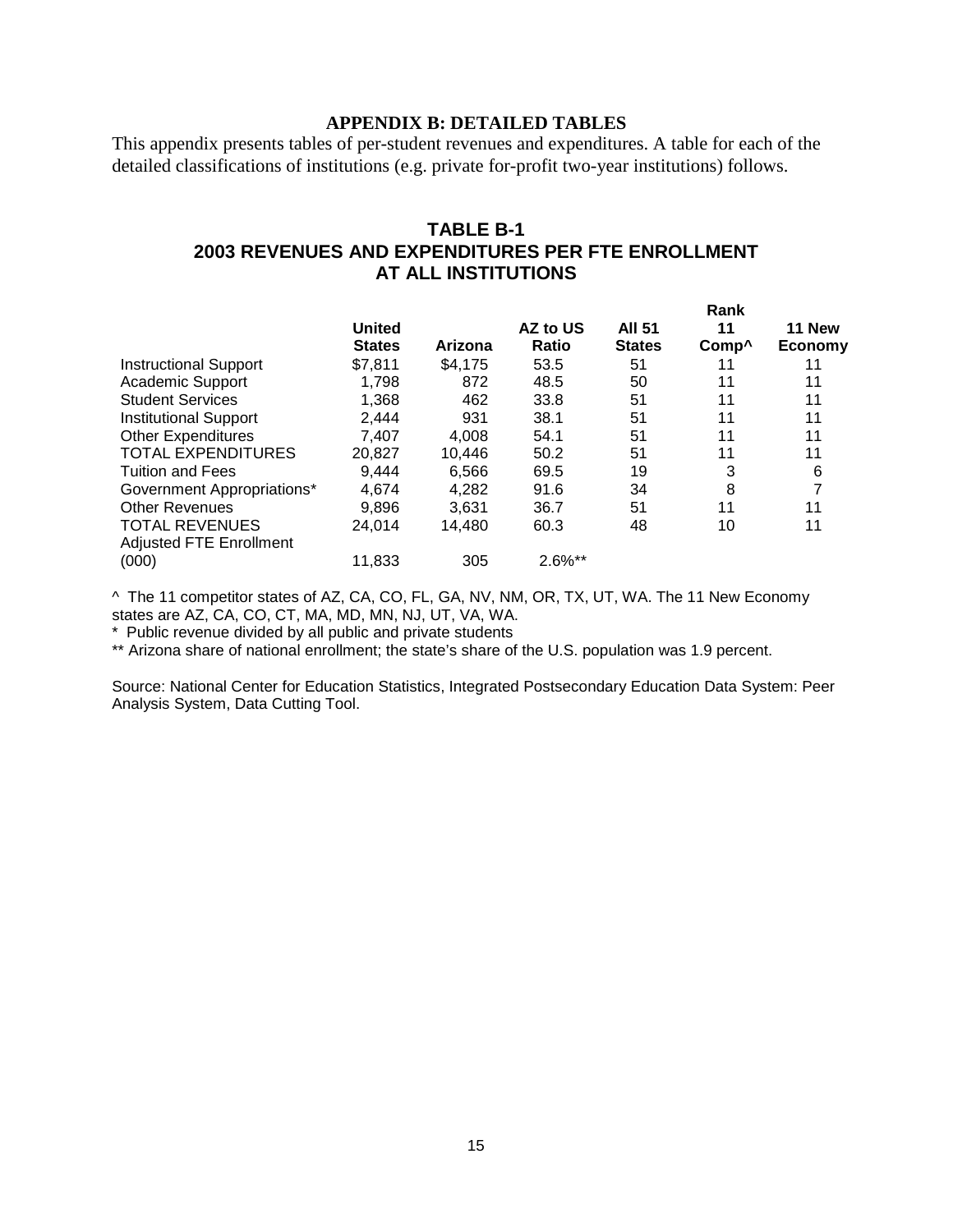#### **APPENDIX B: DETAILED TABLES**

This appendix presents tables of per-student revenues and expenditures. A table for each of the detailed classifications of institutions (e.g. private for-profit two-year institutions) follows.

### **TABLE B-1 2003 REVENUES AND EXPENDITURES PER FTE ENROLLMENT AT ALL INSTITUTIONS**

|                                |               |         |          |               | Rank              |                |
|--------------------------------|---------------|---------|----------|---------------|-------------------|----------------|
|                                | United        |         | AZ to US | <b>AII 51</b> | 11                | 11 New         |
|                                | <b>States</b> | Arizona | Ratio    | <b>States</b> | Comp <sup>^</sup> | <b>Economy</b> |
| <b>Instructional Support</b>   | \$7,811       | \$4,175 | 53.5     | 51            | 11                |                |
| <b>Academic Support</b>        | 1.798         | 872     | 48.5     | 50            | 11                | 11             |
| <b>Student Services</b>        | 1,368         | 462     | 33.8     | 51            | 11                | 11             |
| <b>Institutional Support</b>   | 2,444         | 931     | 38.1     | 51            | 11                | 11             |
| <b>Other Expenditures</b>      | 7.407         | 4,008   | 54.1     | 51            | 11                | 11             |
| <b>TOTAL EXPENDITURES</b>      | 20,827        | 10.446  | 50.2     | 51            | 11                | 11             |
| <b>Tuition and Fees</b>        | 9.444         | 6.566   | 69.5     | 19            | 3                 | 6              |
| Government Appropriations*     | 4.674         | 4.282   | 91.6     | 34            | 8                 |                |
| <b>Other Revenues</b>          | 9,896         | 3,631   | 36.7     | 51            | 11                | 11             |
| <b>TOTAL REVENUES</b>          | 24,014        | 14.480  | 60.3     | 48            | 10                | 11             |
| <b>Adjusted FTE Enrollment</b> |               |         |          |               |                   |                |
| (000)                          | 11,833        | 305     | 2.6%**   |               |                   |                |

^ The 11 competitor states of AZ, CA, CO, FL, GA, NV, NM, OR, TX, UT, WA. The 11 New Economy states are AZ, CA, CO, CT, MA, MD, MN, NJ, UT, VA, WA.

\* Public revenue divided by all public and private students

\*\* Arizona share of national enrollment; the state's share of the U.S. population was 1.9 percent.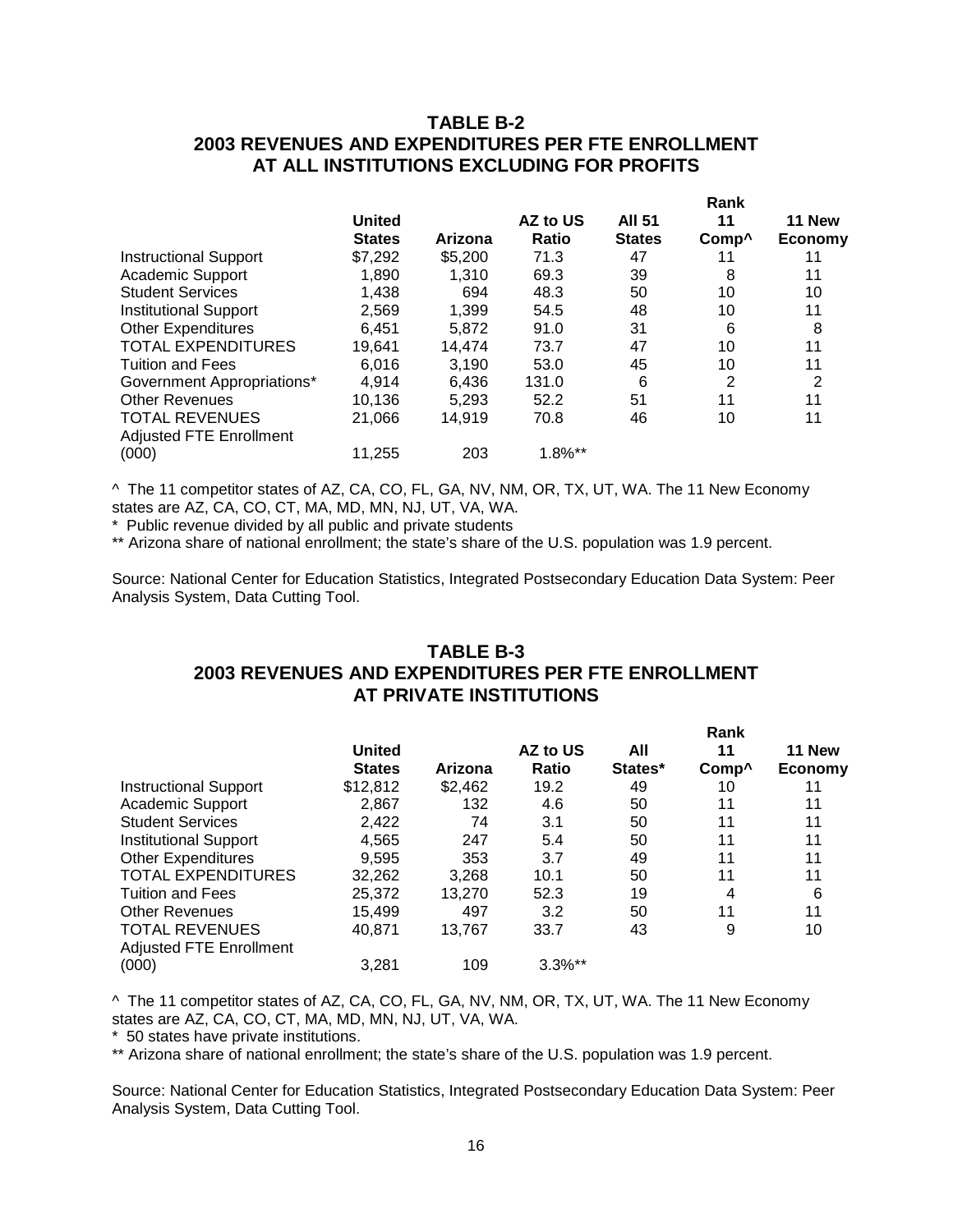### **TABLE B-2 2003 REVENUES AND EXPENDITURES PER FTE ENROLLMENT AT ALL INSTITUTIONS EXCLUDING FOR PROFITS**

|                                                         | <b>United</b> |         | AZ to US   | <b>All 51</b> | 11                | 11 New  |
|---------------------------------------------------------|---------------|---------|------------|---------------|-------------------|---------|
|                                                         | <b>States</b> | Arizona | Ratio      | <b>States</b> | Comp <sup>^</sup> | Economy |
| <b>Instructional Support</b>                            | \$7,292       | \$5,200 | 71.3       | 47            | 11                | 11      |
| <b>Academic Support</b>                                 | 1,890         | 1,310   | 69.3       | 39            | 8                 | 11      |
| <b>Student Services</b>                                 | 1,438         | 694     | 48.3       | 50            | 10                | 10      |
| <b>Institutional Support</b>                            | 2,569         | 1,399   | 54.5       | 48            | 10                | 11      |
| <b>Other Expenditures</b>                               | 6.451         | 5.872   | 91.0       | 31            | 6                 | 8       |
| <b>TOTAL EXPENDITURES</b>                               | 19,641        | 14.474  | 73.7       | 47            | 10                | 11      |
| <b>Tuition and Fees</b>                                 | 6.016         | 3,190   | 53.0       | 45            | 10                | 11      |
| Government Appropriations*                              | 4,914         | 6,436   | 131.0      | 6             | 2                 | 2       |
| <b>Other Revenues</b>                                   | 10,136        | 5.293   | 52.2       | 51            | 11                | 11      |
| <b>TOTAL REVENUES</b><br><b>Adjusted FTE Enrollment</b> | 21,066        | 14,919  | 70.8       | 46            | 10                | 11      |
| (000)                                                   | 11,255        | 203     | $1.8\%$ ** |               |                   |         |

^ The 11 competitor states of AZ, CA, CO, FL, GA, NV, NM, OR, TX, UT, WA. The 11 New Economy states are AZ, CA, CO, CT, MA, MD, MN, NJ, UT, VA, WA.

\* Public revenue divided by all public and private students

\*\* Arizona share of national enrollment; the state's share of the U.S. population was 1.9 percent.

Source: National Center for Education Statistics, Integrated Postsecondary Education Data System: Peer Analysis System, Data Cutting Tool.

## **TABLE B-3 2003 REVENUES AND EXPENDITURES PER FTE ENROLLMENT AT PRIVATE INSTITUTIONS**

|                                |               |         |              |         | Rank              |                |  |
|--------------------------------|---------------|---------|--------------|---------|-------------------|----------------|--|
|                                | United        |         | AZ to US     | All     | 11                | 11 New         |  |
|                                | <b>States</b> | Arizona | <b>Ratio</b> | States* | Comp <sup>^</sup> | <b>Economy</b> |  |
| <b>Instructional Support</b>   | \$12,812      | \$2,462 | 19.2         | 49      | 10                |                |  |
| Academic Support               | 2,867         | 132     | 4.6          | 50      | 11                | 11             |  |
| <b>Student Services</b>        | 2,422         | 74      | 3.1          | 50      | 11                | 11             |  |
| <b>Institutional Support</b>   | 4,565         | 247     | 5.4          | 50      | 11                | 11             |  |
| <b>Other Expenditures</b>      | 9,595         | 353     | 3.7          | 49      | 11                | 11             |  |
| <b>TOTAL EXPENDITURES</b>      | 32,262        | 3,268   | 10.1         | 50      | 11                | 11             |  |
| <b>Tuition and Fees</b>        | 25,372        | 13.270  | 52.3         | 19      | 4                 | 6              |  |
| <b>Other Revenues</b>          | 15,499        | 497     | 3.2          | 50      | 11                | 11             |  |
| <b>TOTAL REVENUES</b>          | 40,871        | 13,767  | 33.7         | 43      | 9                 | 10             |  |
| <b>Adjusted FTE Enrollment</b> |               |         |              |         |                   |                |  |
| (000)                          | 3.281         | 109     | $3.3\%**$    |         |                   |                |  |

^ The 11 competitor states of AZ, CA, CO, FL, GA, NV, NM, OR, TX, UT, WA. The 11 New Economy states are AZ, CA, CO, CT, MA, MD, MN, NJ, UT, VA, WA.

\* 50 states have private institutions.

\*\* Arizona share of national enrollment; the state's share of the U.S. population was 1.9 percent.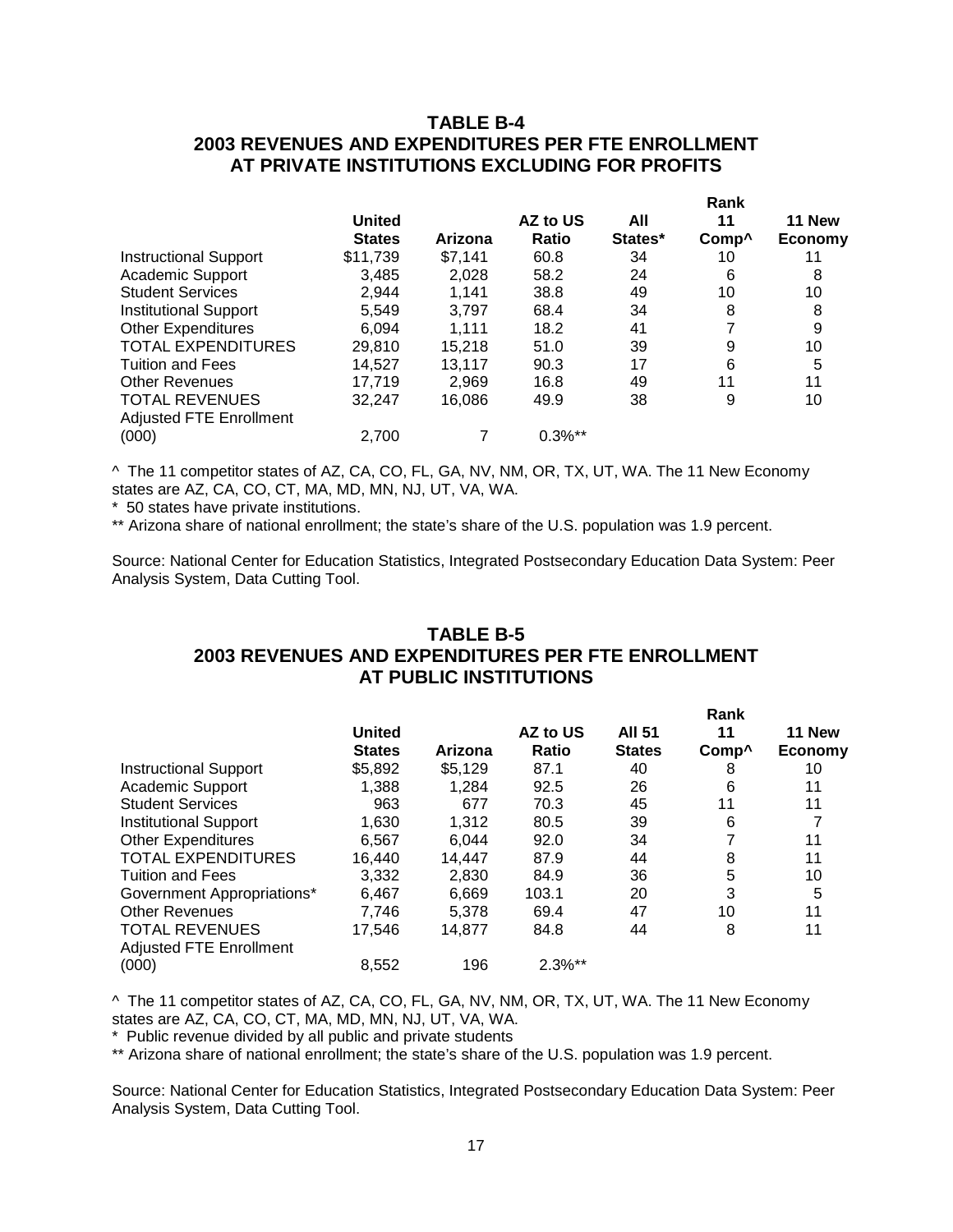### **TABLE B-4 2003 REVENUES AND EXPENDITURES PER FTE ENROLLMENT AT PRIVATE INSTITUTIONS EXCLUDING FOR PROFITS**

|                              |               |         |              | Rank    |                   |         |  |
|------------------------------|---------------|---------|--------------|---------|-------------------|---------|--|
|                              | <b>United</b> |         | AZ to US     | All     | 11                | 11 New  |  |
|                              | <b>States</b> | Arizona | <b>Ratio</b> | States* | Comp <sup>^</sup> | Economy |  |
| <b>Instructional Support</b> | \$11,739      | \$7.141 | 60.8         | 34      | 10                | 11      |  |
| <b>Academic Support</b>      | 3,485         | 2,028   | 58.2         | 24      | 6                 | 8       |  |
| <b>Student Services</b>      | 2,944         | 1.141   | 38.8         | 49      | 10                | 10      |  |
| <b>Institutional Support</b> | 5,549         | 3.797   | 68.4         | 34      | 8                 | 8       |  |
| <b>Other Expenditures</b>    | 6,094         | 1.111   | 18.2         | 41      | 7                 | 9       |  |
| <b>TOTAL EXPENDITURES</b>    | 29,810        | 15,218  | 51.0         | 39      | 9                 | 10      |  |
| <b>Tuition and Fees</b>      | 14.527        | 13,117  | 90.3         | 17      | 6                 | 5       |  |
| <b>Other Revenues</b>        | 17.719        | 2,969   | 16.8         | 49      | 11                | 11      |  |
| <b>TOTAL REVENUES</b>        | 32,247        | 16,086  | 49.9         | 38      | 9                 | 10      |  |
| Adjusted FTE Enrollment      |               |         |              |         |                   |         |  |
| (000)                        | 2,700         |         | $0.3\%$ **   |         |                   |         |  |

^ The 11 competitor states of AZ, CA, CO, FL, GA, NV, NM, OR, TX, UT, WA. The 11 New Economy states are AZ, CA, CO, CT, MA, MD, MN, NJ, UT, VA, WA.

\* 50 states have private institutions.

\*\* Arizona share of national enrollment; the state's share of the U.S. population was 1.9 percent.

Source: National Center for Education Statistics, Integrated Postsecondary Education Data System: Peer Analysis System, Data Cutting Tool.

## **TABLE B-5 2003 REVENUES AND EXPENDITURES PER FTE ENROLLMENT AT PUBLIC INSTITUTIONS**

|                                |               |         |           |               | Rank              |         |  |
|--------------------------------|---------------|---------|-----------|---------------|-------------------|---------|--|
|                                | <b>United</b> |         | AZ to US  | <b>AII 51</b> | 11                | 11 New  |  |
|                                | <b>States</b> | Arizona | Ratio     | <b>States</b> | Comp <sup>^</sup> | Economy |  |
| <b>Instructional Support</b>   | \$5,892       | \$5,129 | 87.1      | 40            | 8                 | 10      |  |
| Academic Support               | 1,388         | 1.284   | 92.5      | 26            | 6                 | 11      |  |
| <b>Student Services</b>        | 963           | 677     | 70.3      | 45            | 11                | 11      |  |
| <b>Institutional Support</b>   | 1.630         | 1.312   | 80.5      | 39            | 6                 |         |  |
| <b>Other Expenditures</b>      | 6,567         | 6,044   | 92.0      | 34            | 7                 | 11      |  |
| <b>TOTAL EXPENDITURES</b>      | 16.440        | 14.447  | 87.9      | 44            | 8                 | 11      |  |
| <b>Tuition and Fees</b>        | 3.332         | 2.830   | 84.9      | 36            | 5                 | 10      |  |
| Government Appropriations*     | 6.467         | 6.669   | 103.1     | 20            | 3                 | 5       |  |
| <b>Other Revenues</b>          | 7.746         | 5.378   | 69.4      | 47            | 10                | 11      |  |
| <b>TOTAL REVENUES</b>          | 17.546        | 14.877  | 84.8      | 44            | 8                 | 11      |  |
| <b>Adjusted FTE Enrollment</b> |               |         |           |               |                   |         |  |
| (000)                          | 8,552         | 196     | $2.3\%**$ |               |                   |         |  |

^ The 11 competitor states of AZ, CA, CO, FL, GA, NV, NM, OR, TX, UT, WA. The 11 New Economy states are AZ, CA, CO, CT, MA, MD, MN, NJ, UT, VA, WA.

\* Public revenue divided by all public and private students

\*\* Arizona share of national enrollment; the state's share of the U.S. population was 1.9 percent.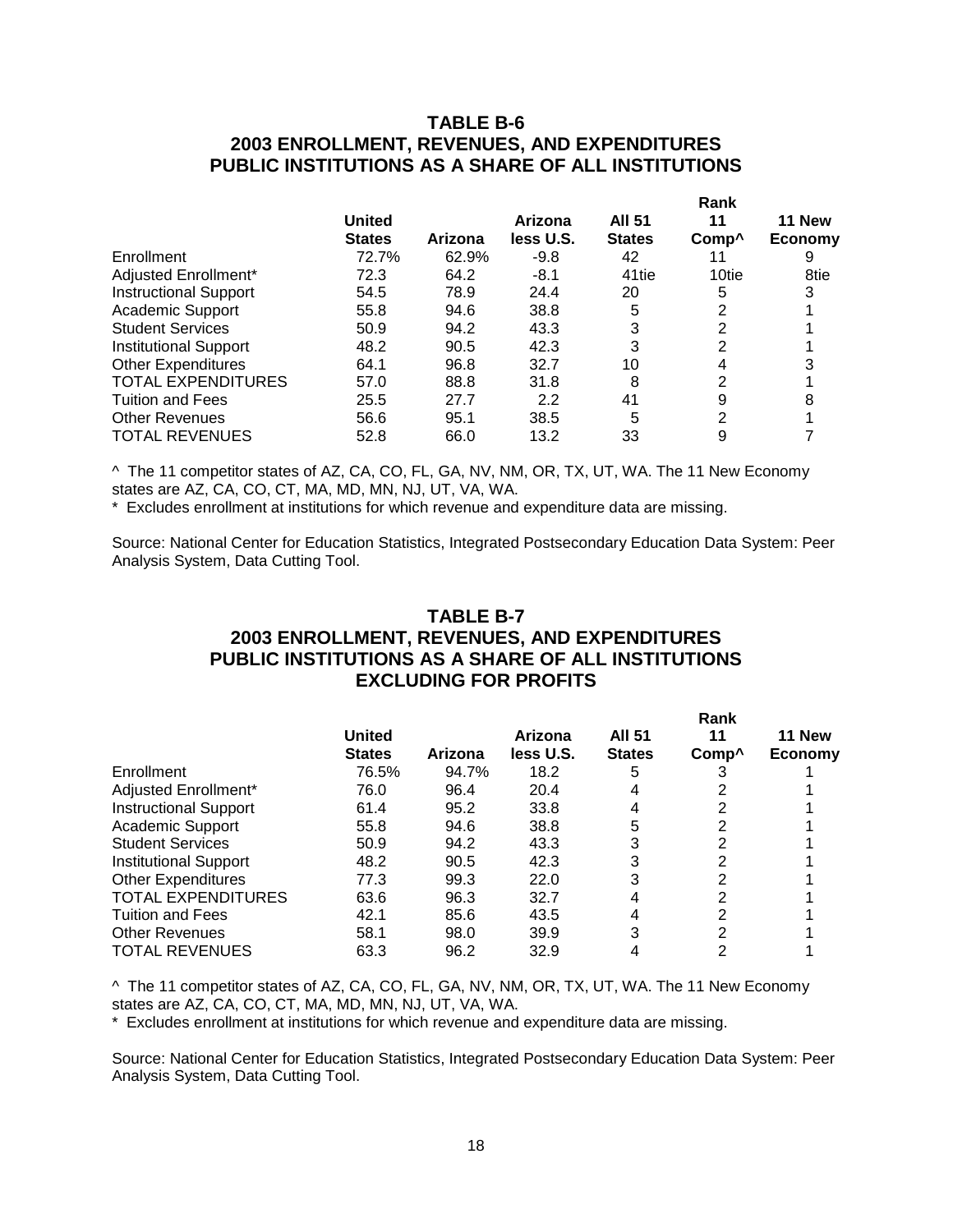### **TABLE B-6 2003 ENROLLMENT, REVENUES, AND EXPENDITURES PUBLIC INSTITUTIONS AS A SHARE OF ALL INSTITUTIONS**

|                              |               |         |           | Rank              |                   |         |  |
|------------------------------|---------------|---------|-----------|-------------------|-------------------|---------|--|
|                              | <b>United</b> |         | Arizona   | <b>AII 51</b>     | 11                | 11 New  |  |
|                              | <b>States</b> | Arizona | less U.S. | <b>States</b>     | Comp <sup>^</sup> | Economy |  |
| Enrollment                   | 72.7%         | 62.9%   | $-9.8$    | 42                | 11                | 9       |  |
| Adjusted Enrollment*         | 72.3          | 64.2    | $-8.1$    | 41 <sub>tie</sub> | 10tie             | 8tie    |  |
| <b>Instructional Support</b> | 54.5          | 78.9    | 24.4      | 20                | 5                 |         |  |
| Academic Support             | 55.8          | 94.6    | 38.8      | 5                 | 2                 |         |  |
| <b>Student Services</b>      | 50.9          | 94.2    | 43.3      | 3                 | 2                 |         |  |
| <b>Institutional Support</b> | 48.2          | 90.5    | 42.3      | 3                 | 2                 |         |  |
| <b>Other Expenditures</b>    | 64.1          | 96.8    | 32.7      | 10                | 4                 |         |  |
| <b>TOTAL EXPENDITURES</b>    | 57.0          | 88.8    | 31.8      | 8                 | 2                 |         |  |
| <b>Tuition and Fees</b>      | 25.5          | 27.7    | 2.2       | 41                | 9                 |         |  |
| <b>Other Revenues</b>        | 56.6          | 95.1    | 38.5      | 5                 | 2                 |         |  |
| <b>TOTAL REVENUES</b>        | 52.8          | 66.0    | 13.2      | 33                | 9                 |         |  |

^ The 11 competitor states of AZ, CA, CO, FL, GA, NV, NM, OR, TX, UT, WA. The 11 New Economy states are AZ, CA, CO, CT, MA, MD, MN, NJ, UT, VA, WA.

\* Excludes enrollment at institutions for which revenue and expenditure data are missing.

Source: National Center for Education Statistics, Integrated Postsecondary Education Data System: Peer Analysis System, Data Cutting Tool.

### **TABLE B-7 2003 ENROLLMENT, REVENUES, AND EXPENDITURES PUBLIC INSTITUTIONS AS A SHARE OF ALL INSTITUTIONS EXCLUDING FOR PROFITS**

|                              |               |         |           | Rank          |                   |         |  |
|------------------------------|---------------|---------|-----------|---------------|-------------------|---------|--|
|                              | <b>United</b> |         | Arizona   | <b>All 51</b> | 11                | 11 New  |  |
|                              | <b>States</b> | Arizona | less U.S. | <b>States</b> | Comp <sup>^</sup> | Economy |  |
| Enrollment                   | 76.5%         | 94.7%   | 18.2      | 5             |                   |         |  |
| Adjusted Enrollment*         | 76.0          | 96.4    | 20.4      |               |                   |         |  |
| <b>Instructional Support</b> | 61.4          | 95.2    | 33.8      |               |                   |         |  |
| Academic Support             | 55.8          | 94.6    | 38.8      | 5             |                   |         |  |
| <b>Student Services</b>      | 50.9          | 94.2    | 43.3      | 3             | 2                 |         |  |
| <b>Institutional Support</b> | 48.2          | 90.5    | 42.3      | 3             | 2                 |         |  |
| <b>Other Expenditures</b>    | 77.3          | 99.3    | 22.0      | 3             | っ                 |         |  |
| <b>TOTAL EXPENDITURES</b>    | 63.6          | 96.3    | 32.7      |               |                   |         |  |
| <b>Tuition and Fees</b>      | 42.1          | 85.6    | 43.5      |               | 2                 |         |  |
| <b>Other Revenues</b>        | 58.1          | 98.0    | 39.9      | 3             | ົ                 |         |  |
| <b>TOTAL REVENUES</b>        | 63.3          | 96.2    | 32.9      |               |                   |         |  |

^ The 11 competitor states of AZ, CA, CO, FL, GA, NV, NM, OR, TX, UT, WA. The 11 New Economy states are AZ, CA, CO, CT, MA, MD, MN, NJ, UT, VA, WA.

\* Excludes enrollment at institutions for which revenue and expenditure data are missing.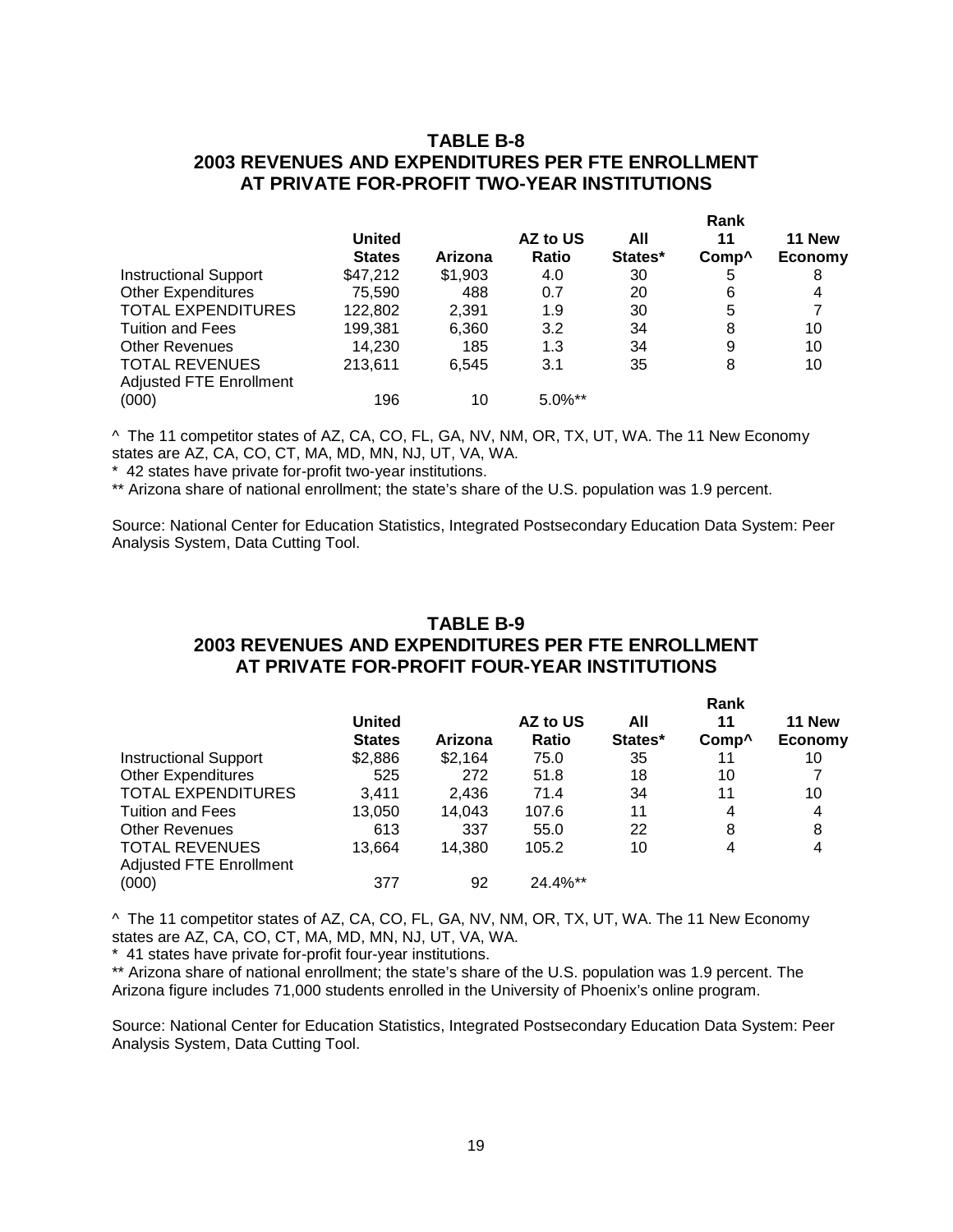### **TABLE B-8 2003 REVENUES AND EXPENDITURES PER FTE ENROLLMENT AT PRIVATE FOR-PROFIT TWO-YEAR INSTITUTIONS**

|                              |                                |         |                   | Rank           |                         |                          |
|------------------------------|--------------------------------|---------|-------------------|----------------|-------------------------|--------------------------|
|                              | <b>United</b><br><b>States</b> | Arizona | AZ to US<br>Ratio | All<br>States* | 11<br>Comp <sup>^</sup> | 11 New<br><b>Economy</b> |
| <b>Instructional Support</b> | \$47,212                       | \$1,903 | 4.0               | 30             | 5                       | 8                        |
| <b>Other Expenditures</b>    | 75,590                         | 488     | 0.7               | 20             | 6                       | 4                        |
| <b>TOTAL EXPENDITURES</b>    | 122,802                        | 2.391   | 1.9               | 30             | 5                       | 7                        |
| <b>Tuition and Fees</b>      | 199,381                        | 6,360   | 3.2               | 34             | 8                       | 10                       |
| <b>Other Revenues</b>        | 14,230                         | 185     | 1.3               | 34             | 9                       | 10                       |
| <b>TOTAL REVENUES</b>        | 213.611                        | 6.545   | 3.1               | 35             | 8                       | 10                       |
| Adjusted FTE Enrollment      |                                |         |                   |                |                         |                          |
| (000)                        | 196                            | 10      | $5.0\%$ **        |                |                         |                          |

^ The 11 competitor states of AZ, CA, CO, FL, GA, NV, NM, OR, TX, UT, WA. The 11 New Economy states are AZ, CA, CO, CT, MA, MD, MN, NJ, UT, VA, WA.

\* 42 states have private for-profit two-year institutions.

\*\* Arizona share of national enrollment; the state's share of the U.S. population was 1.9 percent.

Source: National Center for Education Statistics, Integrated Postsecondary Education Data System: Peer Analysis System, Data Cutting Tool.

## **TABLE B-9 2003 REVENUES AND EXPENDITURES PER FTE ENROLLMENT AT PRIVATE FOR-PROFIT FOUR-YEAR INSTITUTIONS**

| United<br><b>States</b> | Arizona | AZ to US<br><b>Ratio</b> | All<br>States* | 11 | 11 New<br><b>Economy</b>  |
|-------------------------|---------|--------------------------|----------------|----|---------------------------|
| \$2,886                 | \$2,164 | 75.0                     | 35             | 11 | 10                        |
| 525                     | 272     | 51.8                     | 18             | 10 |                           |
| 3.411                   | 2.436   | 71.4                     | 34             | 11 | 10                        |
| 13,050                  | 14,043  | 107.6                    | 11             | 4  | 4                         |
| 613                     | 337     | 55.0                     | 22             | 8  | 8                         |
| 13.664                  | 14.380  | 105.2                    | 10             | 4  | 4                         |
|                         |         |                          |                |    |                           |
| 377                     | 92      | 24.4%**                  |                |    |                           |
|                         |         |                          |                |    | Rank<br>Comp <sup>^</sup> |

^ The 11 competitor states of AZ, CA, CO, FL, GA, NV, NM, OR, TX, UT, WA. The 11 New Economy states are AZ, CA, CO, CT, MA, MD, MN, NJ, UT, VA, WA.

\* 41 states have private for-profit four-year institutions.

\*\* Arizona share of national enrollment; the state's share of the U.S. population was 1.9 percent. The Arizona figure includes 71,000 students enrolled in the University of Phoenix's online program.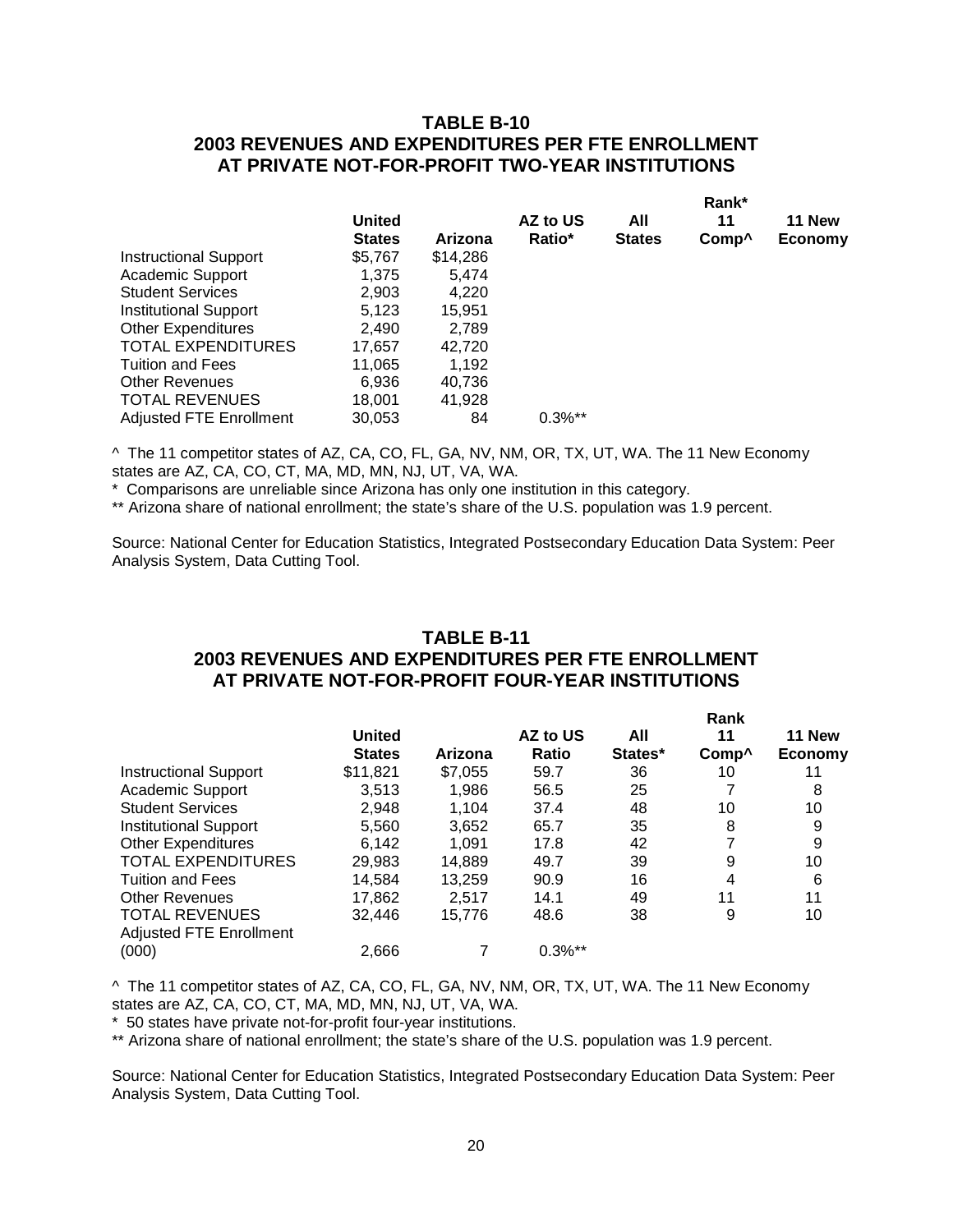### **TABLE B-10 2003 REVENUES AND EXPENDITURES PER FTE ENROLLMENT AT PRIVATE NOT-FOR-PROFIT TWO-YEAR INSTITUTIONS**

|                                |               |          |           | Rank*         |                   |                |  |
|--------------------------------|---------------|----------|-----------|---------------|-------------------|----------------|--|
|                                | <b>United</b> |          | AZ to US  | All           | 11                | 11 New         |  |
|                                | <b>States</b> | Arizona  | Ratio*    | <b>States</b> | Comp <sup>^</sup> | <b>Economy</b> |  |
| <b>Instructional Support</b>   | \$5,767       | \$14,286 |           |               |                   |                |  |
| <b>Academic Support</b>        | 1,375         | 5,474    |           |               |                   |                |  |
| <b>Student Services</b>        | 2,903         | 4,220    |           |               |                   |                |  |
| <b>Institutional Support</b>   | 5,123         | 15.951   |           |               |                   |                |  |
| <b>Other Expenditures</b>      | 2.490         | 2,789    |           |               |                   |                |  |
| <b>TOTAL EXPENDITURES</b>      | 17,657        | 42.720   |           |               |                   |                |  |
| <b>Tuition and Fees</b>        | 11,065        | 1,192    |           |               |                   |                |  |
| <b>Other Revenues</b>          | 6,936         | 40,736   |           |               |                   |                |  |
| <b>TOTAL REVENUES</b>          | 18,001        | 41.928   |           |               |                   |                |  |
| <b>Adjusted FTE Enrollment</b> | 30,053        | 84       | $0.3\%**$ |               |                   |                |  |
|                                |               |          |           |               |                   |                |  |

^ The 11 competitor states of AZ, CA, CO, FL, GA, NV, NM, OR, TX, UT, WA. The 11 New Economy states are AZ, CA, CO, CT, MA, MD, MN, NJ, UT, VA, WA.

\* Comparisons are unreliable since Arizona has only one institution in this category.

\*\* Arizona share of national enrollment; the state's share of the U.S. population was 1.9 percent.

Source: National Center for Education Statistics, Integrated Postsecondary Education Data System: Peer Analysis System, Data Cutting Tool.

### **TABLE B-11 2003 REVENUES AND EXPENDITURES PER FTE ENROLLMENT AT PRIVATE NOT-FOR-PROFIT FOUR-YEAR INSTITUTIONS**

|                                |               |         |            | Rank    |                   |                |  |
|--------------------------------|---------------|---------|------------|---------|-------------------|----------------|--|
|                                | <b>United</b> |         | AZ to US   | All     | 11                | 11 New         |  |
|                                | <b>States</b> | Arizona | Ratio      | States* | Comp <sup>^</sup> | <b>Economy</b> |  |
| <b>Instructional Support</b>   | \$11,821      | \$7,055 | 59.7       | 36      | 10                |                |  |
| Academic Support               | 3,513         | 1,986   | 56.5       | 25      |                   | 8              |  |
| <b>Student Services</b>        | 2,948         | 1.104   | 37.4       | 48      | 10                | 10             |  |
| <b>Institutional Support</b>   | 5,560         | 3,652   | 65.7       | 35      | 8                 | 9              |  |
| <b>Other Expenditures</b>      | 6,142         | 1.091   | 17.8       | 42      | 7                 | 9              |  |
| <b>TOTAL EXPENDITURES</b>      | 29,983        | 14,889  | 49.7       | 39      | 9                 | 10             |  |
| <b>Tuition and Fees</b>        | 14,584        | 13,259  | 90.9       | 16      | 4                 | 6              |  |
| <b>Other Revenues</b>          | 17,862        | 2.517   | 14.1       | 49      | 11                | 11             |  |
| <b>TOTAL REVENUES</b>          | 32,446        | 15,776  | 48.6       | 38      | 9                 | 10             |  |
| <b>Adjusted FTE Enrollment</b> |               |         |            |         |                   |                |  |
| (000)                          | 2,666         |         | $0.3\%$ ** |         |                   |                |  |

^ The 11 competitor states of AZ, CA, CO, FL, GA, NV, NM, OR, TX, UT, WA. The 11 New Economy states are AZ, CA, CO, CT, MA, MD, MN, NJ, UT, VA, WA.

\* 50 states have private not-for-profit four-year institutions.

\*\* Arizona share of national enrollment; the state's share of the U.S. population was 1.9 percent.